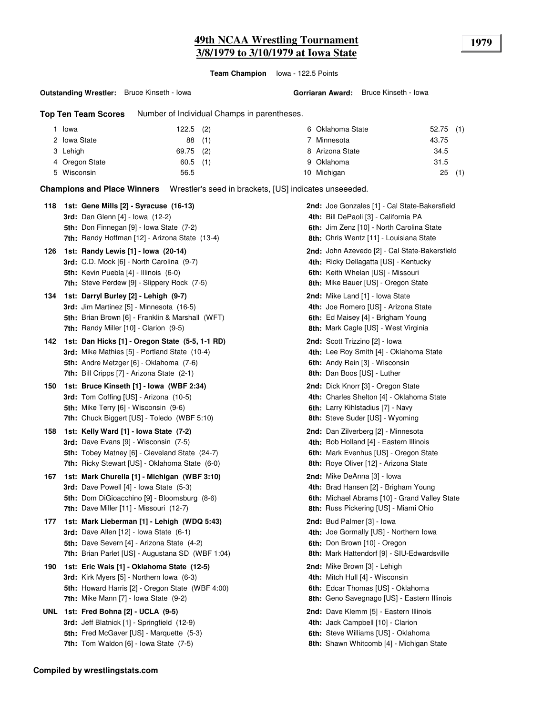# **49th NCAA Wrestling Tournament 1979 3/8/1979 to 3/10/1979 at Iowa State**

**Team Champion** Iowa - 122.5 Points

#### **Outstanding Wrestler:** Bruce Kinseth - Iowa

**Top Ten Team Scores** Number of Individual Champs in parentheses.

| Iowa           | $122.5$ (2) | 6 Oklahoma State | $52.75$ (1) |
|----------------|-------------|------------------|-------------|
| 2 Iowa State   | 88(1)       | 7 Minnesota      | 43.75       |
| 3 Lehigh       | $69.75$ (2) | 8 Arizona State  | 34.5        |
| 4 Oregon State | $60.5$ (1)  | 9 Oklahoma       | 31.5        |
| 5 Wisconsin    | 56.5        | 10 Michigan      | (1)<br>25   |

**Champions and Place Winners** Wrestler's seed in brackets, [US] indicates unseeeded.

| 118 | 1st: Gene Mills [2] - Syracuse (16-13)<br>3rd: Dan Glenn [4] - Iowa (12-2)<br><b>5th:</b> Don Finnegan [9] - Iowa State (7-2)<br><b>7th:</b> Randy Hoffman [12] - Arizona State (13-4)                 | <b>2nd:</b> Joe Gonzales [1] - Cal State-Bakersfield<br>4th: Bill DePaoli [3] - California PA<br><b>6th:</b> Jim Zenz [10] - North Carolina State<br>8th: Chris Wentz [11] - Louisiana State |
|-----|--------------------------------------------------------------------------------------------------------------------------------------------------------------------------------------------------------|----------------------------------------------------------------------------------------------------------------------------------------------------------------------------------------------|
| 126 | 1st: Randy Lewis [1] - Iowa (20-14)<br>3rd: C.D. Mock [6] - North Carolina (9-7)<br>5th: Kevin Puebla [4] - Illinois (6-0)<br>7th: Steve Perdew [9] - Slippery Rock (7-5)                              | 2nd: John Azevedo [2] - Cal State-Bakersfield<br>4th: Ricky Dellagatta [US] - Kentucky<br>6th: Keith Whelan [US] - Missouri<br>8th: Mike Bauer [US] - Oregon State                           |
| 134 | 1st: Darryl Burley [2] - Lehigh (9-7)<br><b>3rd:</b> Jim Martinez [5] - Minnesota (16-5)<br>5th: Brian Brown [6] - Franklin & Marshall (WFT)<br>7th: Randy Miller [10] - Clarion (9-5)                 | 2nd: Mike Land [1] - Iowa State<br>4th: Joe Romero [US] - Arizona State<br>6th: Ed Maisey [4] - Brigham Young<br>8th: Mark Cagle [US] - West Virginia                                        |
| 142 | 1st: Dan Hicks [1] - Oregon State (5-5, 1-1 RD)<br>3rd: Mike Mathies [5] - Portland State (10-4)<br>5th: Andre Metzger [6] - Oklahoma (7-6)<br><b>7th:</b> Bill Cripps [7] - Arizona State (2-1)       | 2nd: Scott Trizzino [2] - Iowa<br>4th: Lee Roy Smith [4] - Oklahoma State<br>6th: Andy Rein [3] - Wisconsin<br>8th: Dan Boos [US] - Luther                                                   |
| 150 | 1st: Bruce Kinseth [1] - Iowa (WBF 2:34)<br>3rd: Tom Coffing [US] - Arizona (10-5)<br><b>5th:</b> Mike Terry [6] - Wisconsin (9-6)<br><b>7th:</b> Chuck Biggert [US] - Toledo (WBF 5:10)               | <b>2nd:</b> Dick Knorr [3] - Oregon State<br>4th: Charles Shelton [4] - Oklahoma State<br>6th: Larry Kihlstadius [7] - Navy<br>8th: Steve Suder [US] - Wyoming                               |
| 158 | 1st: Kelly Ward [1] - Iowa State (7-2)<br>3rd: Dave Evans [9] - Wisconsin (7-5)<br>5th: Tobey Matney [6] - Cleveland State (24-7)<br>7th: Ricky Stewart [US] - Oklahoma State (6-0)                    | 2nd: Dan Zilverberg [2] - Minnesota<br>4th: Bob Holland [4] - Eastern Illinois<br>6th: Mark Evenhus [US] - Oregon State<br>8th: Roye Oliver [12] - Arizona State                             |
| 167 | 1st: Mark Churella [1] - Michigan (WBF 3:10)<br><b>3rd:</b> Dave Powell [4] - Iowa State (5-3)<br>5th: Dom DiGioacchino [9] - Bloomsburg (8-6)<br><b>7th:</b> Dave Miller [11] - Missouri (12-7)       | <b>2nd:</b> Mike DeAnna [3] - Iowa<br>4th: Brad Hansen [2] - Brigham Young<br>6th: Michael Abrams [10] - Grand Valley State<br><b>8th:</b> Russ Pickering [US] - Miami Ohio                  |
| 177 | 1st: Mark Lieberman [1] - Lehigh (WDQ 5:43)<br>3rd: Dave Allen [12] - Iowa State (6-1)<br><b>5th:</b> Dave Severn [4] - Arizona State (4-2)<br>7th: Brian Parlet [US] - Augustana SD (WBF 1:04)        | <b>2nd:</b> Bud Palmer [3] - Iowa<br>4th: Joe Gormally [US] - Northern Iowa<br>6th: Don Brown [10] - Oregon<br>8th: Mark Hattendorf [9] - SIU-Edwardsville                                   |
| 190 | 1st: Eric Wais [1] - Oklahoma State (12-5)<br><b>3rd:</b> Kirk Myers [5] - Northern Iowa (6-3)<br>5th: Howard Harris [2] - Oregon State (WBF 4:00)<br><b>7th:</b> Mike Mann $[7]$ - Iowa State $(9-2)$ | 2nd: Mike Brown [3] - Lehigh<br>4th: Mitch Hull [4] - Wisconsin<br>6th: Edcar Thomas [US] - Oklahoma<br>8th: Geno Savegnago [US] - Eastern Illinois                                          |
|     | UNL 1st: Fred Bohna [2] - UCLA (9-5)<br>3rd: Jeff Blatnick [1] - Springfield (12-9)<br><b>5th:</b> Fred McGaver [US] - Marquette (5-3)<br><b>7th:</b> Tom Waldon $[6]$ - Iowa State $(7-5)$            | 2nd: Dave Klemm [5] - Eastern Illinois<br>4th: Jack Campbell [10] - Clarion<br>6th: Steve Williams [US] - Oklahoma<br>8th: Shawn Whitcomb [4] - Michigan State                               |
|     |                                                                                                                                                                                                        |                                                                                                                                                                                              |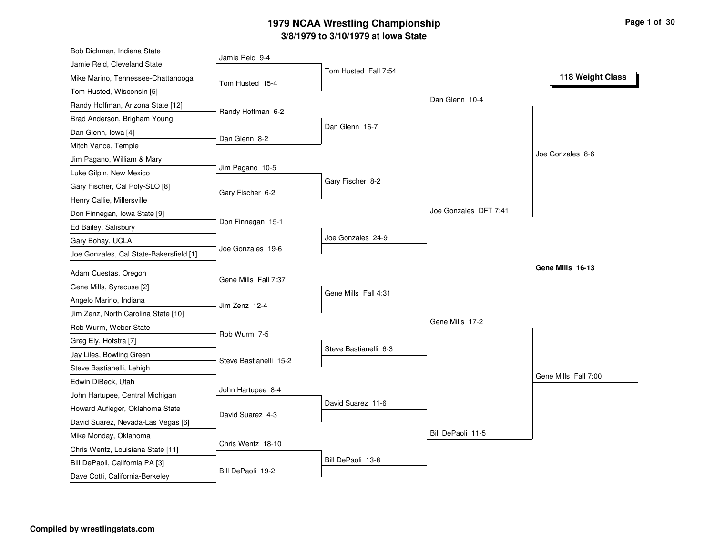#### **3/8/1979 to 3/10/1979 at Iowa State 1979 NCAA Wrestling Championship Page <sup>1</sup> of <sup>30</sup>**

| Jamie Reid, Cleveland State                                          | Jamie Reid 9-4         |                       |                       |                      |
|----------------------------------------------------------------------|------------------------|-----------------------|-----------------------|----------------------|
| Mike Marino, Tennessee-Chattanooga                                   | Tom Husted 15-4        | Tom Husted Fall 7:54  |                       | 118 Weight Class     |
| Tom Husted, Wisconsin [5]                                            |                        |                       |                       |                      |
| Randy Hoffman, Arizona State [12]                                    |                        |                       | Dan Glenn 10-4        |                      |
| Brad Anderson, Brigham Young                                         | Randy Hoffman 6-2      |                       |                       |                      |
| Dan Glenn, Iowa [4]                                                  |                        | Dan Glenn 16-7        |                       |                      |
| Mitch Vance, Temple                                                  | Dan Glenn 8-2          |                       |                       |                      |
| Jim Pagano, William & Mary                                           |                        |                       |                       | Joe Gonzales 8-6     |
| Luke Gilpin, New Mexico                                              | Jim Pagano 10-5        |                       |                       |                      |
| Gary Fischer, Cal Poly-SLO [8]                                       |                        | Gary Fischer 8-2      |                       |                      |
| Henry Callie, Millersville                                           | Gary Fischer 6-2       |                       |                       |                      |
| Don Finnegan, Iowa State [9]                                         |                        |                       | Joe Gonzales DFT 7:41 |                      |
| Ed Bailey, Salisbury                                                 | Don Finnegan 15-1      |                       |                       |                      |
| Gary Bohay, UCLA                                                     |                        | Joe Gonzales 24-9     |                       |                      |
| Joe Gonzales, Cal State-Bakersfield [1]                              | Joe Gonzales 19-6      |                       |                       |                      |
| Adam Cuestas, Oregon                                                 |                        |                       |                       | Gene Mills 16-13     |
| Gene Mills, Syracuse [2]                                             | Gene Mills Fall 7:37   |                       |                       |                      |
| Angelo Marino, Indiana                                               |                        | Gene Mills Fall 4:31  |                       |                      |
|                                                                      | Jim Zenz 12-4          |                       |                       |                      |
|                                                                      |                        |                       |                       |                      |
| Jim Zenz, North Carolina State [10]                                  |                        |                       | Gene Mills 17-2       |                      |
| Rob Wurm, Weber State                                                | Rob Wurm 7-5           |                       |                       |                      |
| Greg Ely, Hofstra [7]                                                |                        | Steve Bastianelli 6-3 |                       |                      |
| Jay Liles, Bowling Green                                             | Steve Bastianelli 15-2 |                       |                       |                      |
| Steve Bastianelli, Lehigh                                            |                        |                       |                       | Gene Mills Fall 7:00 |
| Edwin DiBeck, Utah                                                   | John Hartupee 8-4      |                       |                       |                      |
| John Hartupee, Central Michigan                                      |                        | David Suarez 11-6     |                       |                      |
| Howard Aufleger, Oklahoma State                                      | David Suarez 4-3       |                       |                       |                      |
| David Suarez, Nevada-Las Vegas [6]                                   |                        |                       |                       |                      |
| Mike Monday, Oklahoma                                                | Chris Wentz 18-10      |                       | Bill DePaoli 11-5     |                      |
| Chris Wentz, Louisiana State [11]<br>Bill DePaoli, California PA [3] |                        | Bill DePaoli 13-8     |                       |                      |
|                                                                      |                        |                       |                       |                      |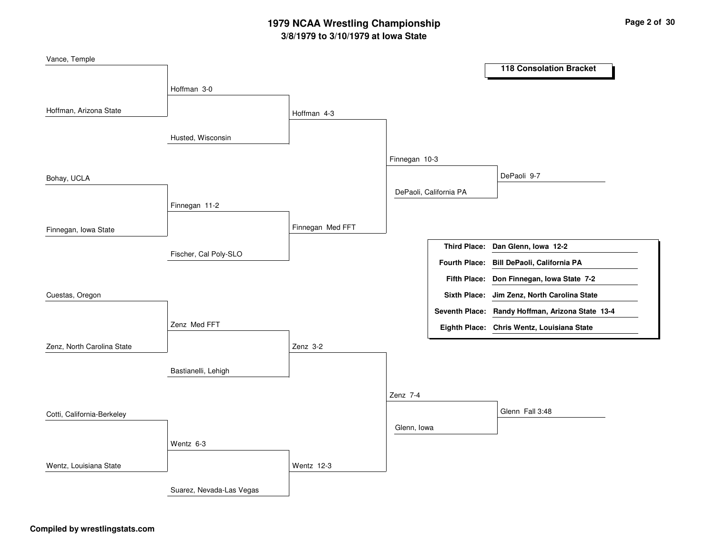# **3/8/1979 to 3/10/1979 at Iowa State 1979 NCAA Wrestling Championship Page <sup>2</sup> of <sup>30</sup>**

| Vance, Temple              |                          |                  |               |                        |                                                  |
|----------------------------|--------------------------|------------------|---------------|------------------------|--------------------------------------------------|
|                            |                          |                  |               |                        | <b>118 Consolation Bracket</b>                   |
|                            | Hoffman 3-0              |                  |               |                        |                                                  |
|                            |                          |                  |               |                        |                                                  |
| Hoffman, Arizona State     |                          | Hoffman 4-3      |               |                        |                                                  |
|                            |                          |                  |               |                        |                                                  |
|                            | Husted, Wisconsin        |                  |               |                        |                                                  |
|                            |                          |                  | Finnegan 10-3 |                        |                                                  |
|                            |                          |                  |               |                        | DePaoli 9-7                                      |
| Bohay, UCLA                |                          |                  |               | DePaoli, California PA |                                                  |
|                            | Finnegan 11-2            |                  |               |                        |                                                  |
|                            |                          |                  |               |                        |                                                  |
| Finnegan, Iowa State       |                          | Finnegan Med FFT |               |                        |                                                  |
|                            |                          |                  |               |                        | Third Place: Dan Glenn, Iowa 12-2                |
|                            | Fischer, Cal Poly-SLO    |                  |               |                        | Fourth Place: Bill DePaoli, California PA        |
|                            |                          |                  |               |                        |                                                  |
|                            |                          |                  |               |                        | Fifth Place: Don Finnegan, Iowa State 7-2        |
| Cuestas, Oregon            |                          |                  |               |                        | Sixth Place: Jim Zenz, North Carolina State      |
|                            |                          |                  |               |                        | Seventh Place: Randy Hoffman, Arizona State 13-4 |
|                            | Zenz Med FFT             |                  |               |                        | Eighth Place: Chris Wentz, Louisiana State       |
| Zenz, North Carolina State |                          | Zenz 3-2         |               |                        |                                                  |
|                            |                          |                  |               |                        |                                                  |
|                            | Bastianelli, Lehigh      |                  |               |                        |                                                  |
|                            |                          |                  |               |                        |                                                  |
|                            |                          |                  | Zenz 7-4      |                        |                                                  |
| Cotti, California-Berkeley |                          |                  |               |                        | Glenn Fall 3:48                                  |
|                            |                          |                  | Glenn, Iowa   |                        |                                                  |
|                            | Wentz 6-3                |                  |               |                        |                                                  |
|                            |                          |                  |               |                        |                                                  |
| Wentz, Louisiana State     |                          | Wentz 12-3       |               |                        |                                                  |
|                            | Suarez, Nevada-Las Vegas |                  |               |                        |                                                  |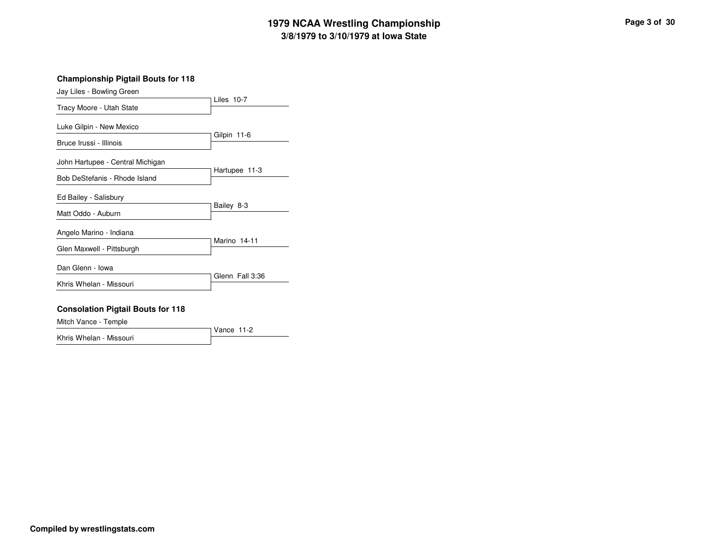# **3/8/1979 to 3/10/1979 at Iowa State 1979 NCAA Wrestling Championship Page <sup>3</sup> of <sup>30</sup>**

**Championship Pigtail Bouts for 118**

| Jay Liles - Bowling Green        |                 |
|----------------------------------|-----------------|
| Tracy Moore - Utah State         | Liles $10-7$    |
|                                  |                 |
| Luke Gilpin - New Mexico         | Gilpin 11-6     |
| Bruce Irussi - Illinois          |                 |
| John Hartupee - Central Michigan |                 |
| Bob DeStefanis - Rhode Island    | Hartupee 11-3   |
| Ed Bailey - Salisbury            |                 |
| Matt Oddo - Auburn               | Bailey 8-3      |
| Angelo Marino - Indiana          |                 |
| Glen Maxwell - Pittsburgh        | Marino 14-11    |
| Dan Glenn - Iowa                 |                 |
| Khris Whelan - Missouri          | Glenn Fall 3:36 |
|                                  |                 |

#### **Consolation Pigtail Bouts for 118**

Mitch Vance - Temple

Vance 11-2 Khris Whelan - Missouri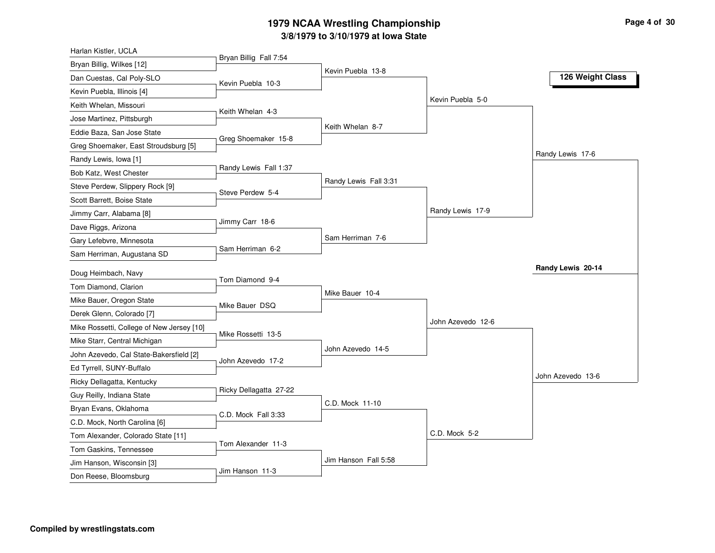#### **3/8/1979 to 3/10/1979 at Iowa State 1979 NCAA Wrestling Championship Page <sup>4</sup> of <sup>30</sup>**

| Harlan Kistler, UCLA                               |                        |                       |                   |                   |
|----------------------------------------------------|------------------------|-----------------------|-------------------|-------------------|
| Bryan Billig, Wilkes [12]                          | Bryan Billig Fall 7:54 |                       |                   |                   |
| Dan Cuestas, Cal Poly-SLO                          | Kevin Puebla 10-3      | Kevin Puebla 13-8     |                   | 126 Weight Class  |
| Kevin Puebla, Illinois [4]                         |                        |                       |                   |                   |
| Keith Whelan, Missouri                             |                        |                       | Kevin Puebla 5-0  |                   |
| Jose Martinez, Pittsburgh                          | Keith Whelan 4-3       |                       |                   |                   |
| Eddie Baza, San Jose State                         |                        | Keith Whelan 8-7      |                   |                   |
| Greg Shoemaker, East Stroudsburg [5]               | Greg Shoemaker 15-8    |                       |                   |                   |
| Randy Lewis, Iowa [1]                              |                        |                       |                   | Randy Lewis 17-6  |
| Bob Katz, West Chester                             | Randy Lewis Fall 1:37  |                       |                   |                   |
| Steve Perdew, Slippery Rock [9]                    |                        | Randy Lewis Fall 3:31 |                   |                   |
| Scott Barrett, Boise State                         | Steve Perdew 5-4       |                       |                   |                   |
| Jimmy Carr, Alabama [8]                            |                        |                       | Randy Lewis 17-9  |                   |
| Dave Riggs, Arizona                                | Jimmy Carr 18-6        |                       |                   |                   |
| Gary Lefebvre, Minnesota                           |                        | Sam Herriman 7-6      |                   |                   |
| Sam Herriman, Augustana SD                         | Sam Herriman 6-2       |                       |                   |                   |
|                                                    |                        |                       |                   |                   |
|                                                    |                        |                       |                   | Randy Lewis 20-14 |
| Doug Heimbach, Navy                                | Tom Diamond 9-4        |                       |                   |                   |
| Tom Diamond, Clarion                               |                        | Mike Bauer 10-4       |                   |                   |
| Mike Bauer, Oregon State                           | Mike Bauer DSQ         |                       |                   |                   |
| Derek Glenn, Colorado [7]                          |                        |                       | John Azevedo 12-6 |                   |
| Mike Rossetti, College of New Jersey [10]          | Mike Rossetti 13-5     |                       |                   |                   |
| Mike Starr, Central Michigan                       |                        | John Azevedo 14-5     |                   |                   |
| John Azevedo, Cal State-Bakersfield [2]            | John Azevedo 17-2      |                       |                   |                   |
| Ed Tyrrell, SUNY-Buffalo                           |                        |                       |                   | John Azevedo 13-6 |
| Ricky Dellagatta, Kentucky                         | Ricky Dellagatta 27-22 |                       |                   |                   |
| Guy Reilly, Indiana State                          |                        | C.D. Mock 11-10       |                   |                   |
| Bryan Evans, Oklahoma                              | C.D. Mock Fall 3:33    |                       |                   |                   |
| C.D. Mock, North Carolina [6]                      |                        |                       |                   |                   |
| Tom Alexander, Colorado State [11]                 | Tom Alexander 11-3     |                       | C.D. Mock 5-2     |                   |
| Tom Gaskins, Tennessee                             |                        |                       |                   |                   |
| Jim Hanson, Wisconsin [3]<br>Don Reese, Bloomsburg | Jim Hanson 11-3        | Jim Hanson Fall 5:58  |                   |                   |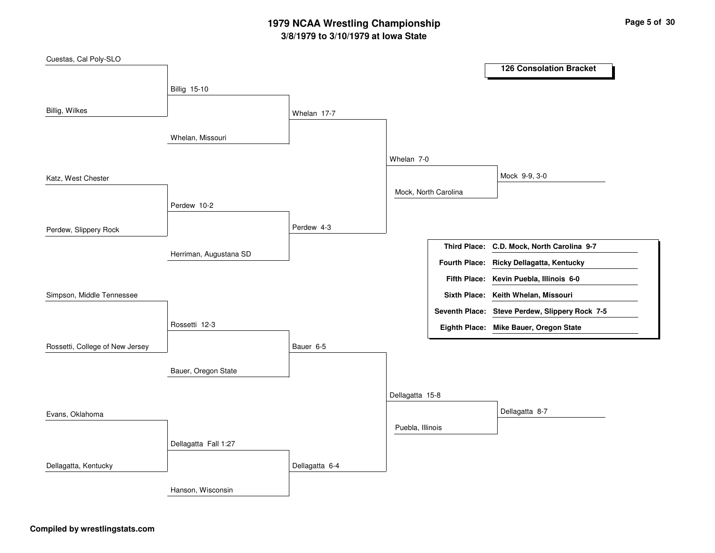# **3/8/1979 to 3/10/1979 at Iowa State 1979 NCAA Wrestling Championship Page <sup>5</sup> of <sup>30</sup>**

| Cuestas, Cal Poly-SLO           |                        |                |                  |                      |                                                |
|---------------------------------|------------------------|----------------|------------------|----------------------|------------------------------------------------|
|                                 |                        |                |                  |                      | <b>126 Consolation Bracket</b>                 |
|                                 | <b>Billig 15-10</b>    |                |                  |                      |                                                |
|                                 |                        |                |                  |                      |                                                |
| Billig, Wilkes                  |                        | Whelan 17-7    |                  |                      |                                                |
|                                 |                        |                |                  |                      |                                                |
|                                 | Whelan, Missouri       |                |                  |                      |                                                |
|                                 |                        |                | Whelan 7-0       |                      |                                                |
| Katz, West Chester              |                        |                |                  |                      | Mock 9-9, 3-0                                  |
|                                 |                        |                |                  | Mock, North Carolina |                                                |
|                                 | Perdew 10-2            |                |                  |                      |                                                |
|                                 |                        |                |                  |                      |                                                |
| Perdew, Slippery Rock           |                        | Perdew 4-3     |                  |                      |                                                |
|                                 | Herriman, Augustana SD |                |                  |                      | Third Place: C.D. Mock, North Carolina 9-7     |
|                                 |                        |                |                  |                      | Fourth Place: Ricky Dellagatta, Kentucky       |
|                                 |                        |                |                  |                      | Fifth Place: Kevin Puebla, Illinois 6-0        |
| Simpson, Middle Tennessee       |                        |                |                  |                      | Sixth Place: Keith Whelan, Missouri            |
|                                 |                        |                |                  |                      | Seventh Place: Steve Perdew, Slippery Rock 7-5 |
|                                 | Rossetti 12-3          |                |                  |                      | Eighth Place: Mike Bauer, Oregon State         |
|                                 |                        |                |                  |                      |                                                |
| Rossetti, College of New Jersey |                        | Bauer 6-5      |                  |                      |                                                |
|                                 | Bauer, Oregon State    |                |                  |                      |                                                |
|                                 |                        |                |                  |                      |                                                |
|                                 |                        |                | Dellagatta 15-8  |                      |                                                |
| Evans, Oklahoma                 |                        |                |                  |                      | Dellagatta 8-7                                 |
|                                 |                        |                | Puebla, Illinois |                      |                                                |
|                                 | Dellagatta Fall 1:27   |                |                  |                      |                                                |
|                                 |                        |                |                  |                      |                                                |
| Dellagatta, Kentucky            |                        | Dellagatta 6-4 |                  |                      |                                                |
|                                 | Hanson, Wisconsin      |                |                  |                      |                                                |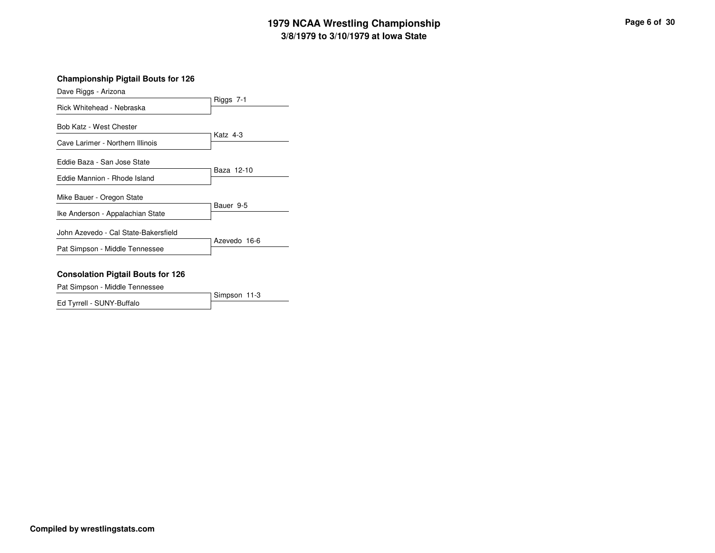# **3/8/1979 to 3/10/1979 at Iowa State 1979 NCAA Wrestling Championship Page <sup>6</sup> of <sup>30</sup>**

#### **Championship Pigtail Bouts for 126**

| Dave Riggs - Arizona                 |              |
|--------------------------------------|--------------|
| Rick Whitehead - Nebraska            | Riggs 7-1    |
| Bob Katz - West Chester              |              |
| Cave Larimer - Northern Illinois     | Katz 4-3     |
| Eddie Baza - San Jose State          |              |
| Eddie Mannion - Rhode Island         | Baza 12-10   |
| Mike Bauer - Oregon State            |              |
| Ike Anderson - Appalachian State     | Bauer 9-5    |
| John Azevedo - Cal State-Bakersfield |              |
| Pat Simpson - Middle Tennessee       | Azevedo 16-6 |
|                                      |              |

#### **Consolation Pigtail Bouts for 126**

Pat Simpson - Middle Tennessee

Simpson 11-3 Ed Tyrrell - SUNY-Buffalo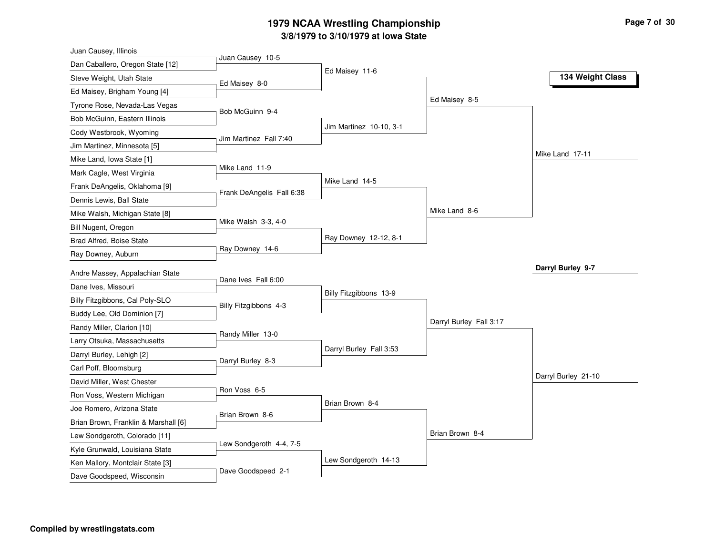#### **3/8/1979 to 3/10/1979 at Iowa State 1979 NCAA Wrestling Championship Page <sup>7</sup> of <sup>30</sup>**

| Juan Causey 10-5<br>Dan Caballero, Oregon State [12]<br>Ed Maisey 11-6<br>134 Weight Class<br>Steve Weight, Utah State<br>Ed Maisey 8-0<br>Ed Maisey, Brigham Young [4]<br>Ed Maisey 8-5<br>Tyrone Rose, Nevada-Las Vegas |  |
|---------------------------------------------------------------------------------------------------------------------------------------------------------------------------------------------------------------------------|--|
|                                                                                                                                                                                                                           |  |
|                                                                                                                                                                                                                           |  |
|                                                                                                                                                                                                                           |  |
|                                                                                                                                                                                                                           |  |
| Bob McGuinn 9-4<br>Bob McGuinn, Eastern Illinois                                                                                                                                                                          |  |
| Jim Martinez 10-10, 3-1<br>Cody Westbrook, Wyoming                                                                                                                                                                        |  |
| Jim Martinez Fall 7:40<br>Jim Martinez, Minnesota [5]                                                                                                                                                                     |  |
| Mike Land 17-11<br>Mike Land, Iowa State [1]                                                                                                                                                                              |  |
| Mike Land 11-9<br>Mark Cagle, West Virginia                                                                                                                                                                               |  |
| Mike Land 14-5<br>Frank DeAngelis, Oklahoma [9]                                                                                                                                                                           |  |
| Frank DeAngelis Fall 6:38<br>Dennis Lewis, Ball State                                                                                                                                                                     |  |
| Mike Land 8-6<br>Mike Walsh, Michigan State [8]                                                                                                                                                                           |  |
| Mike Walsh 3-3, 4-0<br>Bill Nugent, Oregon                                                                                                                                                                                |  |
| Ray Downey 12-12, 8-1<br>Brad Alfred, Boise State                                                                                                                                                                         |  |
| Ray Downey 14-6<br>Ray Downey, Auburn                                                                                                                                                                                     |  |
| Darryl Burley 9-7<br>Andre Massey, Appalachian State                                                                                                                                                                      |  |
| Dane Ives Fall 6:00<br>Dane Ives, Missouri                                                                                                                                                                                |  |
| Billy Fitzgibbons 13-9<br>Billy Fitzgibbons, Cal Poly-SLO                                                                                                                                                                 |  |
| Billy Fitzgibbons 4-3<br>Buddy Lee, Old Dominion [7]                                                                                                                                                                      |  |
| Darryl Burley Fall 3:17<br>Randy Miller, Clarion [10]                                                                                                                                                                     |  |
| Randy Miller 13-0<br>Larry Otsuka, Massachusetts                                                                                                                                                                          |  |
| Darryl Burley Fall 3:53                                                                                                                                                                                                   |  |
| Darryl Burley, Lehigh [2]<br>Darryl Burley 8-3<br>Carl Poff, Bloomsburg                                                                                                                                                   |  |
| Darryl Burley 21-10<br>David Miller, West Chester                                                                                                                                                                         |  |
| Ron Voss 6-5                                                                                                                                                                                                              |  |
| Ron Voss, Western Michigan<br>Brian Brown 8-4<br>Joe Romero, Arizona State                                                                                                                                                |  |
| Brian Brown 8-6                                                                                                                                                                                                           |  |
| Brian Brown, Franklin & Marshall [6]<br>Brian Brown 8-4                                                                                                                                                                   |  |
| Lew Sondgeroth, Colorado [11]<br>Lew Sondgeroth 4-4, 7-5                                                                                                                                                                  |  |
| Kyle Grunwald, Louisiana State<br>Lew Sondgeroth 14-13                                                                                                                                                                    |  |
| Ken Mallory, Montclair State [3]<br>Dave Goodspeed 2-1<br>Dave Goodspeed, Wisconsin                                                                                                                                       |  |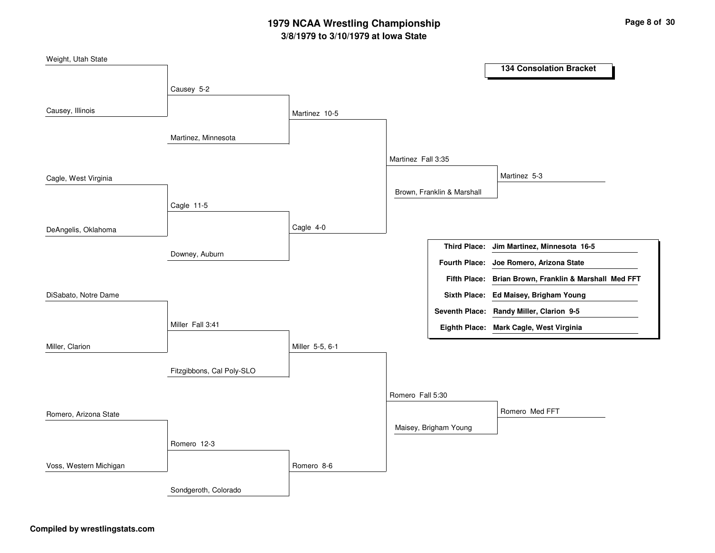# **3/8/1979 to 3/10/1979 at Iowa State 1979 NCAA Wrestling Championship Page <sup>8</sup> of <sup>30</sup>**

| Weight, Utah State     |                           |                 |                    |                            |                                                       |  |
|------------------------|---------------------------|-----------------|--------------------|----------------------------|-------------------------------------------------------|--|
|                        |                           |                 |                    |                            | <b>134 Consolation Bracket</b>                        |  |
|                        | Causey 5-2                |                 |                    |                            |                                                       |  |
| Causey, Illinois       |                           |                 |                    |                            |                                                       |  |
|                        |                           | Martinez 10-5   |                    |                            |                                                       |  |
|                        | Martinez, Minnesota       |                 |                    |                            |                                                       |  |
|                        |                           |                 |                    |                            |                                                       |  |
|                        |                           |                 | Martinez Fall 3:35 |                            |                                                       |  |
| Cagle, West Virginia   |                           |                 |                    |                            | Martinez 5-3                                          |  |
|                        |                           |                 |                    | Brown, Franklin & Marshall |                                                       |  |
|                        | Cagle 11-5                |                 |                    |                            |                                                       |  |
|                        |                           |                 |                    |                            |                                                       |  |
| DeAngelis, Oklahoma    |                           | Cagle 4-0       |                    |                            |                                                       |  |
|                        | Downey, Auburn            |                 |                    | <b>Third Place:</b>        | Jim Martinez, Minnesota 16-5                          |  |
|                        |                           |                 |                    | <b>Fourth Place:</b>       | Joe Romero, Arizona State                             |  |
|                        |                           |                 |                    |                            | Fifth Place: Brian Brown, Franklin & Marshall Med FFT |  |
| DiSabato, Notre Dame   |                           |                 |                    |                            | Sixth Place: Ed Maisey, Brigham Young                 |  |
|                        |                           |                 |                    |                            | Seventh Place: Randy Miller, Clarion 9-5              |  |
|                        | Miller Fall 3:41          |                 |                    |                            | Eighth Place: Mark Cagle, West Virginia               |  |
| Miller, Clarion        |                           | Miller 5-5, 6-1 |                    |                            |                                                       |  |
|                        |                           |                 |                    |                            |                                                       |  |
|                        | Fitzgibbons, Cal Poly-SLO |                 |                    |                            |                                                       |  |
|                        |                           |                 |                    |                            |                                                       |  |
|                        |                           |                 | Romero Fall 5:30   |                            |                                                       |  |
| Romero, Arizona State  |                           |                 |                    |                            | Romero Med FFT                                        |  |
|                        |                           |                 |                    | Maisey, Brigham Young      |                                                       |  |
|                        | Romero 12-3               |                 |                    |                            |                                                       |  |
|                        |                           |                 |                    |                            |                                                       |  |
| Voss, Western Michigan |                           | Romero 8-6      |                    |                            |                                                       |  |
|                        | Sondgeroth, Colorado      |                 |                    |                            |                                                       |  |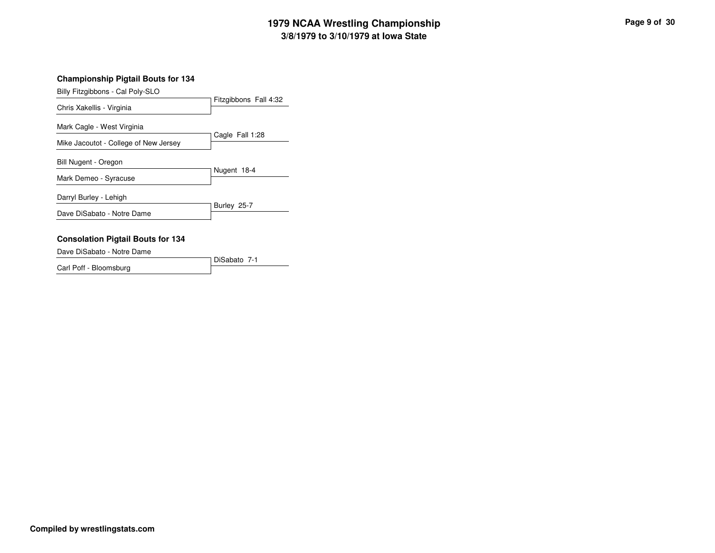# **3/8/1979 to 3/10/1979 at Iowa State 1979 NCAA Wrestling Championship Page <sup>9</sup> of <sup>30</sup>**

| Billy Fitzgibbons - Cal Poly-SLO      |                       |
|---------------------------------------|-----------------------|
| Chris Xakellis - Virginia             | Fitzgibbons Fall 4:32 |
| Mark Cagle - West Virginia            |                       |
| Mike Jacoutot - College of New Jersey | Cagle Fall 1:28       |
| Bill Nugent - Oregon                  | Nugent 18-4           |
| Mark Demeo - Syracuse                 |                       |
| Darryl Burley - Lehigh                |                       |
| Dave DiSabato - Notre Dame            | Burley 25-7           |
|                                       |                       |

#### **Consolation Pigtail Bouts for 134**

Dave DiSabato - Notre Dame

DiSabato 7-1 Carl Poff - Bloomsburg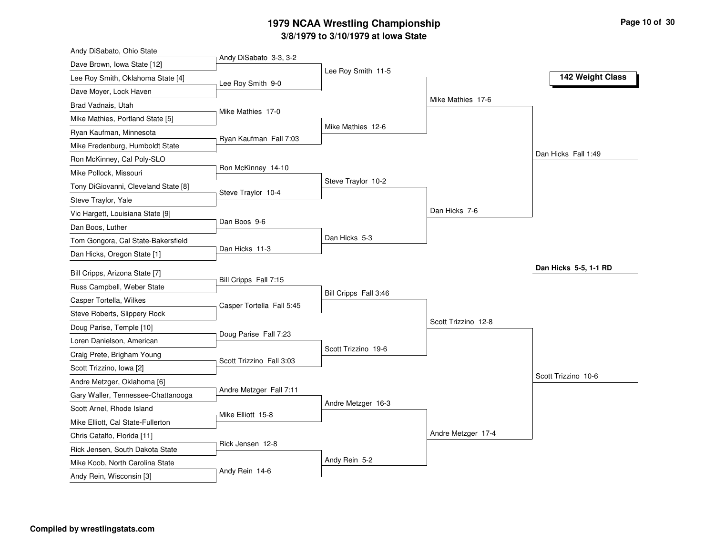#### **3/8/1979 to 3/10/1979 at Iowa State 1979 NCAA Wrestling Championship Page <sup>10</sup> of <sup>30</sup>**

| Andy DiSabato, Ohio State            |                           |                       |                     |                       |
|--------------------------------------|---------------------------|-----------------------|---------------------|-----------------------|
| Dave Brown, Iowa State [12]          | Andy DiSabato 3-3, 3-2    |                       |                     |                       |
| Lee Roy Smith, Oklahoma State [4]    | Lee Roy Smith 9-0         | Lee Roy Smith 11-5    |                     | 142 Weight Class      |
| Dave Moyer, Lock Haven               |                           |                       |                     |                       |
| Brad Vadnais, Utah                   |                           |                       | Mike Mathies 17-6   |                       |
| Mike Mathies, Portland State [5]     | Mike Mathies 17-0         |                       |                     |                       |
| Ryan Kaufman, Minnesota              |                           | Mike Mathies 12-6     |                     |                       |
| Mike Fredenburg, Humboldt State      | Ryan Kaufman Fall 7:03    |                       |                     |                       |
| Ron McKinney, Cal Poly-SLO           |                           |                       |                     | Dan Hicks Fall 1:49   |
| Mike Pollock, Missouri               | Ron McKinney 14-10        |                       |                     |                       |
| Tony DiGiovanni, Cleveland State [8] |                           | Steve Traylor 10-2    |                     |                       |
| Steve Traylor, Yale                  | Steve Traylor 10-4        |                       |                     |                       |
| Vic Hargett, Louisiana State [9]     |                           |                       | Dan Hicks 7-6       |                       |
| Dan Boos, Luther                     | Dan Boos 9-6              |                       |                     |                       |
| Tom Gongora, Cal State-Bakersfield   |                           | Dan Hicks 5-3         |                     |                       |
| Dan Hicks, Oregon State [1]          | Dan Hicks 11-3            |                       |                     |                       |
| Bill Cripps, Arizona State [7]       |                           |                       |                     | Dan Hicks 5-5, 1-1 RD |
| Russ Campbell, Weber State           | Bill Cripps Fall 7:15     |                       |                     |                       |
| Casper Tortella, Wilkes              |                           | Bill Cripps Fall 3:46 |                     |                       |
| Steve Roberts, Slippery Rock         | Casper Tortella Fall 5:45 |                       |                     |                       |
| Doug Parise, Temple [10]             |                           |                       | Scott Trizzino 12-8 |                       |
| Loren Danielson, American            | Doug Parise Fall 7:23     |                       |                     |                       |
| Craig Prete, Brigham Young           |                           | Scott Trizzino 19-6   |                     |                       |
|                                      | Scott Trizzino Fall 3:03  |                       |                     |                       |
| Scott Trizzino, Iowa [2]             |                           |                       |                     | Scott Trizzino 10-6   |
| Andre Metzger, Oklahoma [6]          | Andre Metzger Fall 7:11   |                       |                     |                       |
| Gary Waller, Tennessee-Chattanooga   |                           | Andre Metzger 16-3    |                     |                       |
| Scott Arnel, Rhode Island            | Mike Elliott 15-8         |                       |                     |                       |
| Mike Elliott, Cal State-Fullerton    |                           |                       | Andre Metzger 17-4  |                       |
| Chris Catalfo, Florida [11]          | Rick Jensen 12-8          |                       |                     |                       |
| Rick Jensen, South Dakota State      |                           | Andy Rein 5-2         |                     |                       |
| Mike Koob, North Carolina State      | Andy Rein 14-6            |                       |                     |                       |
| Andy Rein, Wisconsin [3]             |                           |                       |                     |                       |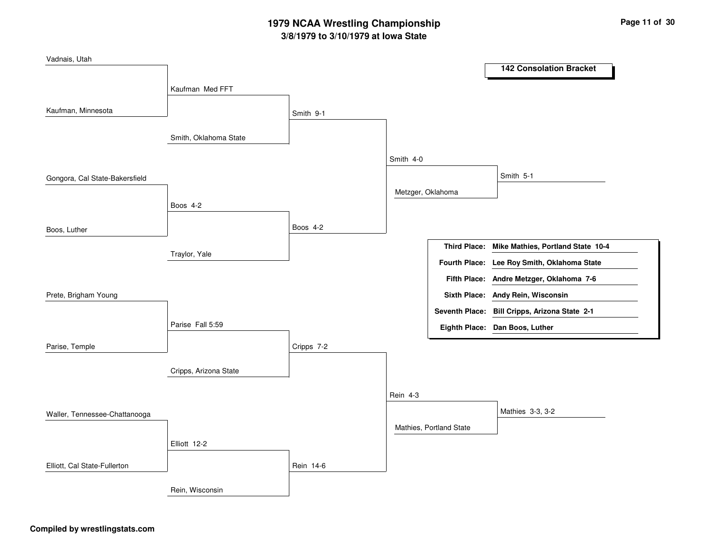# **3/8/1979 to 3/10/1979 at Iowa State 1979 NCAA Wrestling Championship Page <sup>11</sup> of <sup>30</sup>**

| Vadnais, Utah                  |                       |            |                   |                         |                                                |
|--------------------------------|-----------------------|------------|-------------------|-------------------------|------------------------------------------------|
|                                |                       |            |                   |                         | <b>142 Consolation Bracket</b>                 |
|                                | Kaufman Med FFT       |            |                   |                         |                                                |
| Kaufman, Minnesota             |                       |            |                   |                         |                                                |
|                                |                       | Smith 9-1  |                   |                         |                                                |
|                                | Smith, Oklahoma State |            |                   |                         |                                                |
|                                |                       |            | Smith 4-0         |                         |                                                |
| Gongora, Cal State-Bakersfield |                       |            |                   |                         | Smith 5-1                                      |
|                                |                       |            | Metzger, Oklahoma |                         |                                                |
|                                | Boos 4-2              |            |                   |                         |                                                |
| Boos, Luther                   |                       | Boos 4-2   |                   |                         |                                                |
|                                |                       |            |                   |                         | Third Place: Mike Mathies, Portland State 10-4 |
|                                | Traylor, Yale         |            |                   |                         | Fourth Place: Lee Roy Smith, Oklahoma State    |
|                                |                       |            |                   |                         | Fifth Place: Andre Metzger, Oklahoma 7-6       |
| Prete, Brigham Young           |                       |            |                   |                         | Sixth Place: Andy Rein, Wisconsin              |
|                                |                       |            |                   |                         | Seventh Place: Bill Cripps, Arizona State 2-1  |
|                                | Parise Fall 5:59      |            |                   |                         | Eighth Place: Dan Boos, Luther                 |
| Parise, Temple                 |                       | Cripps 7-2 |                   |                         |                                                |
|                                |                       |            |                   |                         |                                                |
|                                | Cripps, Arizona State |            |                   |                         |                                                |
|                                |                       |            | <b>Rein 4-3</b>   |                         |                                                |
| Waller, Tennessee-Chattanooga  |                       |            |                   |                         | Mathies 3-3, 3-2                               |
|                                |                       |            |                   | Mathies, Portland State |                                                |
|                                | Elliott 12-2          |            |                   |                         |                                                |
| Elliott, Cal State-Fullerton   |                       | Rein 14-6  |                   |                         |                                                |
|                                | Rein, Wisconsin       |            |                   |                         |                                                |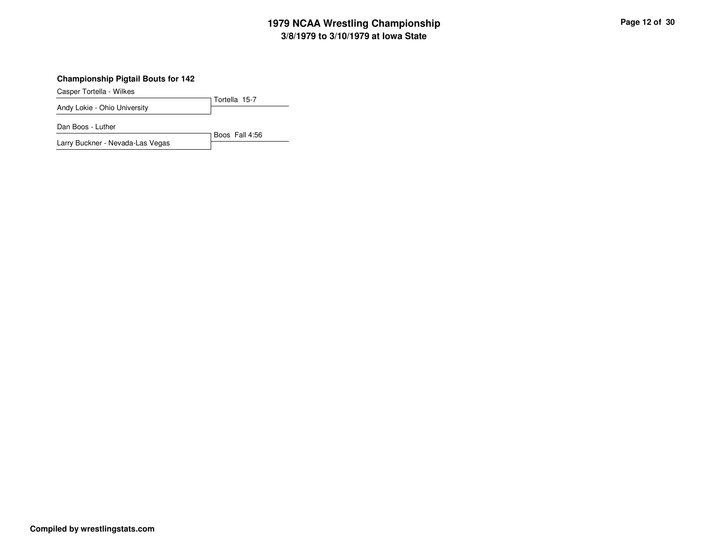# **3/8/1979 to 3/10/1979 at Iowa State 1979 NCAA Wrestling Championship Page <sup>12</sup> of <sup>30</sup>**

#### **Championship Pigtail Bouts for 142**

Casper Tortella - Wilkes

Tortella 15-7 Andy Lokie - Ohio University

Dan Boos - Luther

Boos Fall 4:56 Larry Buckner - Nevada-Las Vegas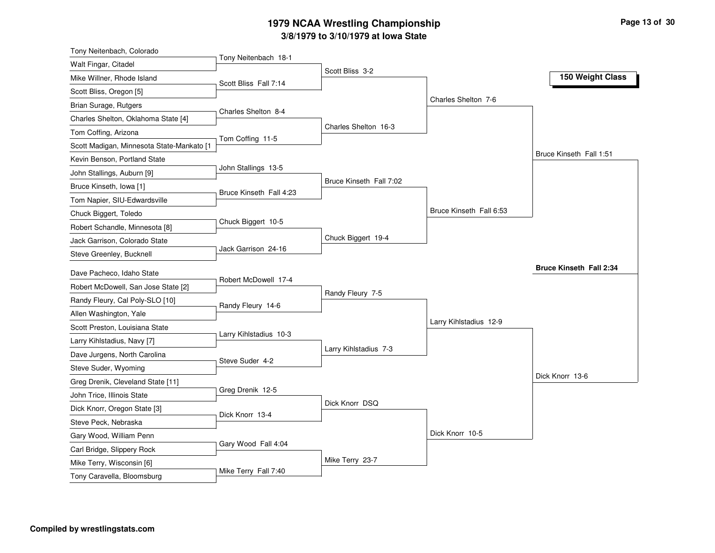#### **3/8/1979 to 3/10/1979 at Iowa State 1979 NCAA Wrestling Championship Page <sup>13</sup> of <sup>30</sup>**

| Tony Neitenbach, Colorado                               |                         |                         |                         |                                |
|---------------------------------------------------------|-------------------------|-------------------------|-------------------------|--------------------------------|
| Walt Fingar, Citadel                                    | Tony Neitenbach 18-1    | Scott Bliss 3-2         |                         |                                |
| Mike Willner, Rhode Island                              | Scott Bliss Fall 7:14   |                         |                         | 150 Weight Class               |
| Scott Bliss, Oregon [5]                                 |                         |                         |                         |                                |
| Brian Surage, Rutgers                                   |                         |                         | Charles Shelton 7-6     |                                |
| Charles Shelton, Oklahoma State [4]                     | Charles Shelton 8-4     |                         |                         |                                |
| Tom Coffing, Arizona                                    |                         | Charles Shelton 16-3    |                         |                                |
| Scott Madigan, Minnesota State-Mankato [1               | Tom Coffing 11-5        |                         |                         |                                |
| Kevin Benson, Portland State                            |                         |                         |                         | Bruce Kinseth Fall 1:51        |
| John Stallings, Auburn [9]                              | John Stallings 13-5     |                         |                         |                                |
| Bruce Kinseth, Iowa [1]                                 |                         | Bruce Kinseth Fall 7:02 |                         |                                |
| Tom Napier, SIU-Edwardsville                            | Bruce Kinseth Fall 4:23 |                         |                         |                                |
| Chuck Biggert, Toledo                                   |                         |                         | Bruce Kinseth Fall 6:53 |                                |
| Robert Schandle, Minnesota [8]                          | Chuck Biggert 10-5      |                         |                         |                                |
| Jack Garrison, Colorado State                           |                         | Chuck Biggert 19-4      |                         |                                |
| Steve Greenley, Bucknell                                | Jack Garrison 24-16     |                         |                         |                                |
|                                                         |                         |                         |                         |                                |
|                                                         |                         |                         |                         | <b>Bruce Kinseth Fall 2:34</b> |
| Dave Pacheco, Idaho State                               | Robert McDowell 17-4    |                         |                         |                                |
| Robert McDowell, San Jose State [2]                     |                         | Randy Fleury 7-5        |                         |                                |
| Randy Fleury, Cal Poly-SLO [10]                         | Randy Fleury 14-6       |                         |                         |                                |
| Allen Washington, Yale                                  |                         |                         | Larry Kihlstadius 12-9  |                                |
| Scott Preston, Louisiana State                          | Larry Kihlstadius 10-3  |                         |                         |                                |
| Larry Kihlstadius, Navy [7]                             |                         | Larry Kihlstadius 7-3   |                         |                                |
| Dave Jurgens, North Carolina                            | Steve Suder 4-2         |                         |                         |                                |
| Steve Suder, Wyoming                                    |                         |                         |                         | Dick Knorr 13-6                |
| Greg Drenik, Cleveland State [11]                       |                         |                         |                         |                                |
| John Trice, Illinois State                              | Greg Drenik 12-5        | Dick Knorr DSQ          |                         |                                |
| Dick Knorr, Oregon State [3]                            | Dick Knorr 13-4         |                         |                         |                                |
| Steve Peck, Nebraska                                    |                         |                         |                         |                                |
| Gary Wood, William Penn                                 |                         |                         | Dick Knorr 10-5         |                                |
| Carl Bridge, Slippery Rock                              | Gary Wood Fall 4:04     |                         |                         |                                |
| Mike Terry, Wisconsin [6]<br>Tony Caravella, Bloomsburg | Mike Terry Fall 7:40    | Mike Terry 23-7         |                         |                                |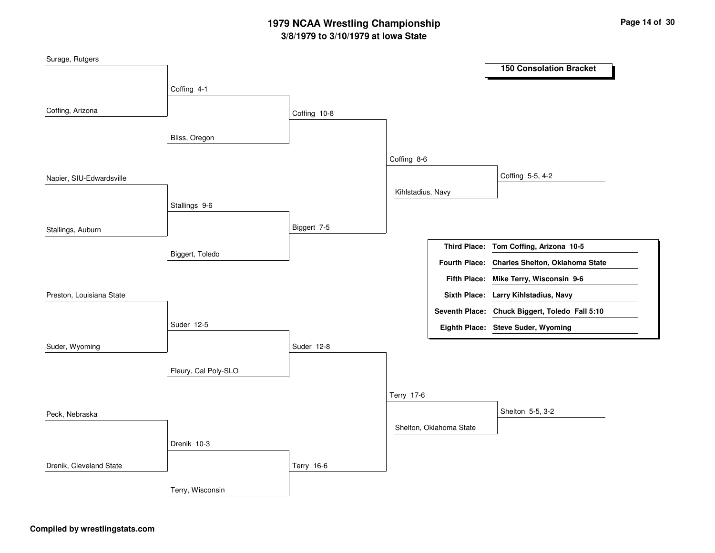# **3/8/1979 to 3/10/1979 at Iowa State 1979 NCAA Wrestling Championship Page <sup>14</sup> of <sup>30</sup>**

| Surage, Rutgers          |                      |              |                   |                         |                                                |
|--------------------------|----------------------|--------------|-------------------|-------------------------|------------------------------------------------|
|                          |                      |              |                   |                         | <b>150 Consolation Bracket</b>                 |
|                          | Coffing 4-1          |              |                   |                         |                                                |
|                          |                      |              |                   |                         |                                                |
| Coffing, Arizona         |                      | Coffing 10-8 |                   |                         |                                                |
|                          | Bliss, Oregon        |              |                   |                         |                                                |
|                          |                      |              |                   |                         |                                                |
|                          |                      |              | Coffing 8-6       |                         |                                                |
| Napier, SIU-Edwardsville |                      |              |                   |                         | Coffing 5-5, 4-2                               |
|                          |                      |              | Kihlstadius, Navy |                         |                                                |
|                          | Stallings 9-6        |              |                   |                         |                                                |
|                          |                      |              |                   |                         |                                                |
| Stallings, Auburn        |                      | Biggert 7-5  |                   |                         |                                                |
|                          | Biggert, Toledo      |              |                   |                         | Third Place: Tom Coffing, Arizona 10-5         |
|                          |                      |              |                   |                         | Fourth Place: Charles Shelton, Oklahoma State  |
|                          |                      |              |                   |                         | Fifth Place: Mike Terry, Wisconsin 9-6         |
| Preston, Louisiana State |                      |              |                   |                         | Sixth Place: Larry Kihlstadius, Navy           |
|                          |                      |              |                   |                         | Seventh Place: Chuck Biggert, Toledo Fall 5:10 |
|                          | Suder 12-5           |              |                   |                         | Eighth Place: Steve Suder, Wyoming             |
|                          |                      |              |                   |                         |                                                |
| Suder, Wyoming           |                      | Suder 12-8   |                   |                         |                                                |
|                          | Fleury, Cal Poly-SLO |              |                   |                         |                                                |
|                          |                      |              |                   |                         |                                                |
|                          |                      |              | Terry 17-6        |                         |                                                |
| Peck, Nebraska           |                      |              |                   |                         | Shelton 5-5, 3-2                               |
|                          |                      |              |                   | Shelton, Oklahoma State |                                                |
|                          | Drenik 10-3          |              |                   |                         |                                                |
|                          |                      |              |                   |                         |                                                |
| Drenik, Cleveland State  |                      | Terry 16-6   |                   |                         |                                                |
|                          |                      |              |                   |                         |                                                |
|                          | Terry, Wisconsin     |              |                   |                         |                                                |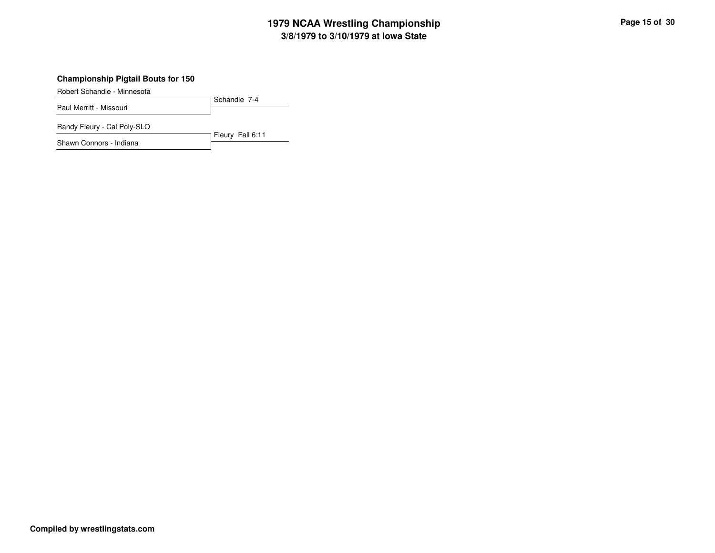# **3/8/1979 to 3/10/1979 at Iowa State 1979 NCAA Wrestling Championship Page <sup>15</sup> of <sup>30</sup>**

#### **Championship Pigtail Bouts for 150**

Robert Schandle - Minnesota

Schandle 7-4 Paul Merritt - Missouri

Randy Fleury - Cal Poly-SLO

Fleury Fall 6:11 Shawn Connors - Indiana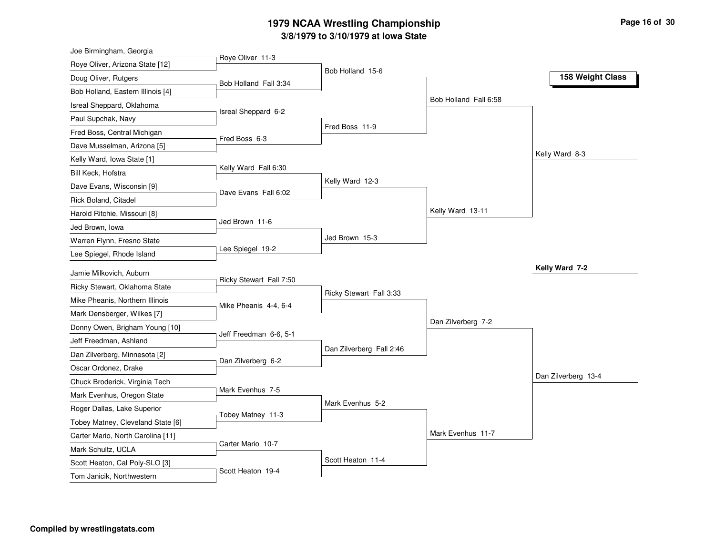#### **3/8/1979 to 3/10/1979 at Iowa State 1979 NCAA Wrestling Championship Page <sup>16</sup> of <sup>30</sup>**

| Joe Birmingham, Georgia                                  |                         |                          |                       |                     |
|----------------------------------------------------------|-------------------------|--------------------------|-----------------------|---------------------|
| Roye Oliver, Arizona State [12]                          | Roye Oliver 11-3        |                          |                       |                     |
| Doug Oliver, Rutgers                                     | Bob Holland Fall 3:34   | Bob Holland 15-6         |                       | 158 Weight Class    |
| Bob Holland, Eastern Illinois [4]                        |                         |                          |                       |                     |
| Isreal Sheppard, Oklahoma                                |                         |                          | Bob Holland Fall 6:58 |                     |
| Paul Supchak, Navy                                       | Isreal Sheppard 6-2     |                          |                       |                     |
| Fred Boss, Central Michigan                              |                         | Fred Boss 11-9           |                       |                     |
| Dave Musselman, Arizona [5]                              | Fred Boss 6-3           |                          |                       |                     |
| Kelly Ward, Iowa State [1]                               |                         |                          |                       | Kelly Ward 8-3      |
| Bill Keck, Hofstra                                       | Kelly Ward Fall 6:30    |                          |                       |                     |
| Dave Evans, Wisconsin [9]                                |                         | Kelly Ward 12-3          |                       |                     |
| Rick Boland, Citadel                                     | Dave Evans Fall 6:02    |                          |                       |                     |
| Harold Ritchie, Missouri [8]                             |                         |                          | Kelly Ward 13-11      |                     |
| Jed Brown, Iowa                                          | Jed Brown 11-6          |                          |                       |                     |
| Warren Flynn, Fresno State                               |                         | Jed Brown 15-3           |                       |                     |
| Lee Spiegel, Rhode Island                                | Lee Spiegel 19-2        |                          |                       |                     |
|                                                          |                         |                          |                       | Kelly Ward 7-2      |
| Jamie Milkovich, Auburn<br>Ricky Stewart, Oklahoma State | Ricky Stewart Fall 7:50 |                          |                       |                     |
|                                                          |                         | Ricky Stewart Fall 3:33  |                       |                     |
| Mike Pheanis, Northern Illinois                          | Mike Pheanis 4-4, 6-4   |                          |                       |                     |
| Mark Densberger, Wilkes [7]                              |                         |                          | Dan Zilverberg 7-2    |                     |
| Donny Owen, Brigham Young [10]                           | Jeff Freedman 6-6, 5-1  |                          |                       |                     |
| Jeff Freedman, Ashland                                   |                         | Dan Zilverberg Fall 2:46 |                       |                     |
| Dan Zilverberg, Minnesota [2]                            | Dan Zilverberg 6-2      |                          |                       |                     |
| Oscar Ordonez, Drake                                     |                         |                          |                       | Dan Zilverberg 13-4 |
| Chuck Broderick, Virginia Tech                           | Mark Evenhus 7-5        |                          |                       |                     |
| Mark Evenhus, Oregon State                               |                         | Mark Evenhus 5-2         |                       |                     |
| Roger Dallas, Lake Superior                              | Tobey Matney 11-3       |                          |                       |                     |
| Tobey Matney, Cleveland State [6]                        |                         |                          | Mark Evenhus 11-7     |                     |
| Carter Mario, North Carolina [11]                        | Carter Mario 10-7       |                          |                       |                     |
| Mark Schultz, UCLA                                       |                         | Scott Heaton 11-4        |                       |                     |
| Scott Heaton, Cal Poly-SLO [3]                           | Scott Heaton 19-4       |                          |                       |                     |
| Tom Janicik, Northwestern                                |                         |                          |                       |                     |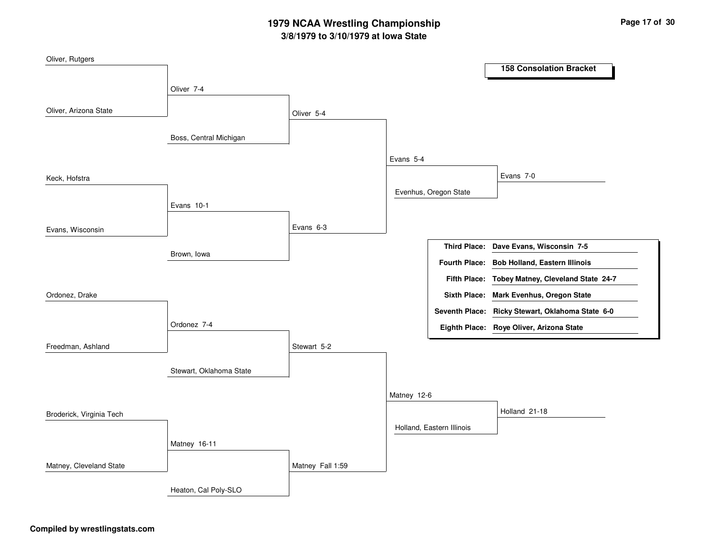# **3/8/1979 to 3/10/1979 at Iowa State 1979 NCAA Wrestling Championship Page <sup>17</sup> of <sup>30</sup>**

| Oliver, Rutgers          |                         |                  |             |                           |                                                  |
|--------------------------|-------------------------|------------------|-------------|---------------------------|--------------------------------------------------|
|                          |                         |                  |             |                           | <b>158 Consolation Bracket</b>                   |
|                          | Oliver 7-4              |                  |             |                           |                                                  |
| Oliver, Arizona State    |                         | Oliver 5-4       |             |                           |                                                  |
|                          | Boss, Central Michigan  |                  |             |                           |                                                  |
|                          |                         |                  | Evans 5-4   |                           |                                                  |
| Keck, Hofstra            |                         |                  |             |                           | Evans 7-0                                        |
|                          | Evans 10-1              |                  |             | Evenhus, Oregon State     |                                                  |
| Evans, Wisconsin         |                         | Evans 6-3        |             |                           |                                                  |
|                          | Brown, lowa             |                  |             |                           | Third Place: Dave Evans, Wisconsin 7-5           |
|                          |                         |                  |             | <b>Fourth Place:</b>      | <b>Bob Holland, Eastern Illinois</b>             |
|                          |                         |                  |             |                           | Fifth Place: Tobey Matney, Cleveland State 24-7  |
| Ordonez, Drake           |                         |                  |             |                           | Sixth Place: Mark Evenhus, Oregon State          |
|                          |                         |                  |             |                           | Seventh Place: Ricky Stewart, Oklahoma State 6-0 |
|                          | Ordonez 7-4             |                  |             |                           | Eighth Place: Roye Oliver, Arizona State         |
| Freedman, Ashland        |                         | Stewart 5-2      |             |                           |                                                  |
|                          | Stewart, Oklahoma State |                  |             |                           |                                                  |
|                          |                         |                  | Matney 12-6 |                           |                                                  |
| Broderick, Virginia Tech |                         |                  |             |                           | Holland 21-18                                    |
|                          |                         |                  |             | Holland, Eastern Illinois |                                                  |
|                          | Matney 16-11            |                  |             |                           |                                                  |
| Matney, Cleveland State  |                         | Matney Fall 1:59 |             |                           |                                                  |
|                          | Heaton, Cal Poly-SLO    |                  |             |                           |                                                  |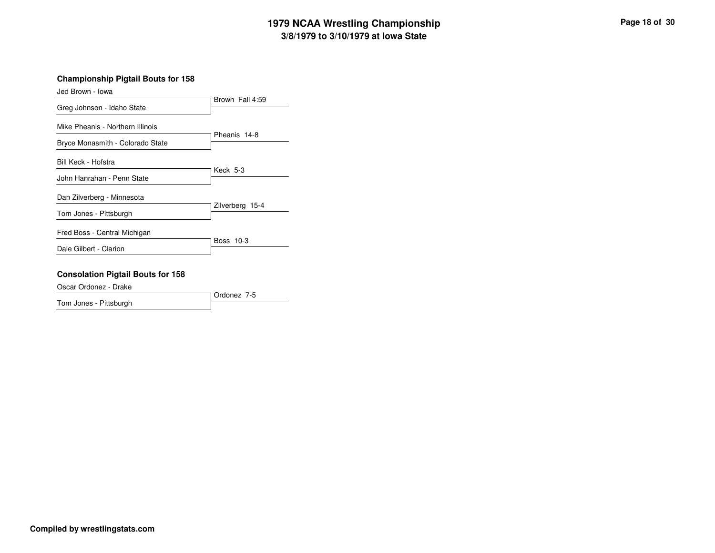# **3/8/1979 to 3/10/1979 at Iowa State 1979 NCAA Wrestling Championship Page <sup>18</sup> of <sup>30</sup>**

#### **Championship Pigtail Bouts for 158**

| Jed Brown - Iowa                 |                 |
|----------------------------------|-----------------|
| Greg Johnson - Idaho State       | Brown Fall 4:59 |
| Mike Pheanis - Northern Illinois |                 |
| Bryce Monasmith - Colorado State | Pheanis 14-8    |
| Bill Keck - Hofstra              |                 |
| John Hanrahan - Penn State       | Keck 5-3        |
| Dan Zilverberg - Minnesota       |                 |
| Tom Jones - Pittsburgh           | Zilverberg 15-4 |
| Fred Boss - Central Michigan     |                 |
| Dale Gilbert - Clarion           | Boss 10-3       |
|                                  |                 |

#### **Consolation Pigtail Bouts for 158**

Oscar Ordonez - Drake

Ordonez 7-5Tom Jones - Pittsburgh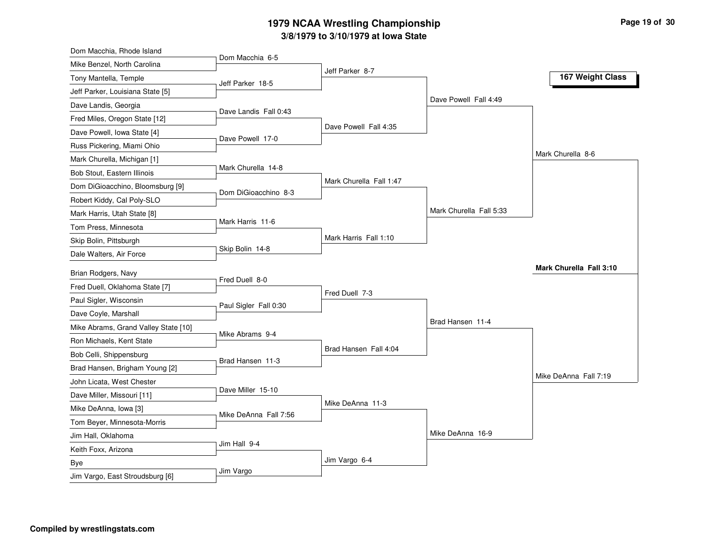#### **3/8/1979 to 3/10/1979 at Iowa State 1979 NCAA Wrestling Championship Page <sup>19</sup> of <sup>30</sup>**

| Dom Macchia, Rhode Island                             |                       |                         |                         |                         |
|-------------------------------------------------------|-----------------------|-------------------------|-------------------------|-------------------------|
| Mike Benzel, North Carolina                           | Dom Macchia 6-5       |                         |                         |                         |
| Tony Mantella, Temple                                 | Jeff Parker 18-5      | Jeff Parker 8-7         |                         | 167 Weight Class        |
| Jeff Parker, Louisiana State [5]                      |                       |                         |                         |                         |
| Dave Landis, Georgia                                  |                       |                         | Dave Powell Fall 4:49   |                         |
| Fred Miles, Oregon State [12]                         | Dave Landis Fall 0:43 |                         |                         |                         |
| Dave Powell, Iowa State [4]                           | Dave Powell 17-0      | Dave Powell Fall 4:35   |                         |                         |
| Russ Pickering, Miami Ohio                            |                       |                         |                         |                         |
| Mark Churella, Michigan [1]                           |                       |                         |                         | Mark Churella 8-6       |
| Bob Stout, Eastern Illinois                           | Mark Churella 14-8    |                         |                         |                         |
| Dom DiGioacchino, Bloomsburg [9]                      |                       | Mark Churella Fall 1:47 |                         |                         |
| Robert Kiddy, Cal Poly-SLO                            | Dom DiGioacchino 8-3  |                         |                         |                         |
| Mark Harris, Utah State [8]                           |                       |                         | Mark Churella Fall 5:33 |                         |
| Tom Press, Minnesota                                  | Mark Harris 11-6      |                         |                         |                         |
| Skip Bolin, Pittsburgh                                |                       | Mark Harris Fall 1:10   |                         |                         |
| Dale Walters, Air Force                               | Skip Bolin 14-8       |                         |                         |                         |
|                                                       |                       |                         |                         | Mark Churella Fall 3:10 |
| Brian Rodgers, Navy<br>Fred Duell, Oklahoma State [7] | Fred Duell 8-0        |                         |                         |                         |
|                                                       |                       | Fred Duell 7-3          |                         |                         |
| Paul Sigler, Wisconsin                                | Paul Sigler Fall 0:30 |                         |                         |                         |
| Dave Coyle, Marshall                                  |                       |                         | Brad Hansen 11-4        |                         |
| Mike Abrams, Grand Valley State [10]                  | Mike Abrams 9-4       |                         |                         |                         |
| Ron Michaels, Kent State                              |                       | Brad Hansen Fall 4:04   |                         |                         |
| Bob Celli, Shippensburg                               | Brad Hansen 11-3      |                         |                         |                         |
| Brad Hansen, Brigham Young [2]                        |                       |                         |                         | Mike DeAnna Fall 7:19   |
| John Licata, West Chester                             | Dave Miller 15-10     |                         |                         |                         |
| Dave Miller, Missouri [11]                            |                       | Mike DeAnna 11-3        |                         |                         |
| Mike DeAnna, Iowa [3]                                 | Mike DeAnna Fall 7:56 |                         |                         |                         |
| Tom Beyer, Minnesota-Morris                           |                       |                         | Mike DeAnna 16-9        |                         |
| Jim Hall, Oklahoma                                    | Jim Hall 9-4          |                         |                         |                         |
| Keith Foxx, Arizona                                   |                       | Jim Vargo 6-4           |                         |                         |
| Bye                                                   | Jim Vargo             |                         |                         |                         |
| Jim Vargo, East Stroudsburg [6]                       |                       |                         |                         |                         |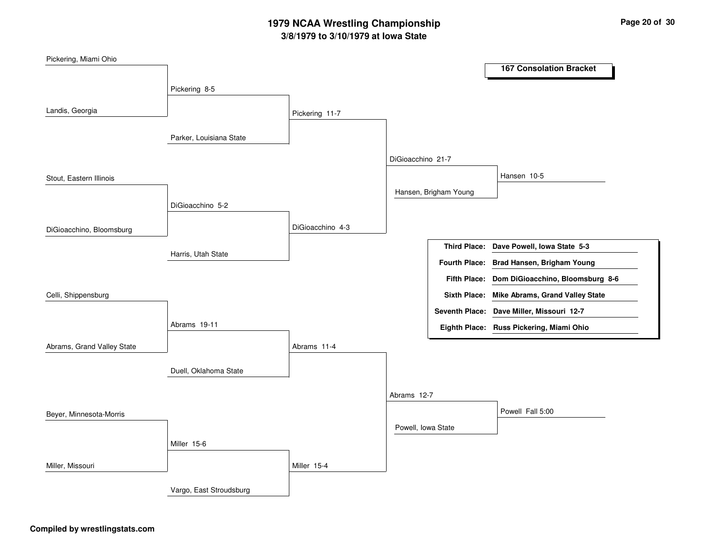# **3/8/1979 to 3/10/1979 at Iowa State 1979 NCAA Wrestling Championship Page <sup>20</sup> of <sup>30</sup>**

| Pickering, Miami Ohio      |                         |                  |                    |                       |                                               |
|----------------------------|-------------------------|------------------|--------------------|-----------------------|-----------------------------------------------|
|                            |                         |                  |                    |                       | <b>167 Consolation Bracket</b>                |
|                            | Pickering 8-5           |                  |                    |                       |                                               |
|                            |                         |                  |                    |                       |                                               |
| Landis, Georgia            |                         | Pickering 11-7   |                    |                       |                                               |
|                            |                         |                  |                    |                       |                                               |
|                            | Parker, Louisiana State |                  |                    |                       |                                               |
|                            |                         |                  | DiGioacchino 21-7  |                       |                                               |
| Stout, Eastern Illinois    |                         |                  |                    |                       | Hansen 10-5                                   |
|                            |                         |                  |                    | Hansen, Brigham Young |                                               |
|                            | DiGioacchino 5-2        |                  |                    |                       |                                               |
|                            |                         | DiGioacchino 4-3 |                    |                       |                                               |
| DiGioacchino, Bloomsburg   |                         |                  |                    |                       |                                               |
|                            | Harris, Utah State      |                  |                    |                       | Third Place: Dave Powell, Iowa State 5-3      |
|                            |                         |                  |                    |                       | Fourth Place: Brad Hansen, Brigham Young      |
|                            |                         |                  |                    |                       | Fifth Place: Dom DiGioacchino, Bloomsburg 8-6 |
| Celli, Shippensburg        |                         |                  |                    |                       | Sixth Place: Mike Abrams, Grand Valley State  |
|                            |                         |                  |                    |                       | Seventh Place: Dave Miller, Missouri 12-7     |
|                            | Abrams 19-11            |                  |                    |                       | Eighth Place: Russ Pickering, Miami Ohio      |
| Abrams, Grand Valley State |                         | Abrams 11-4      |                    |                       |                                               |
|                            |                         |                  |                    |                       |                                               |
|                            | Duell, Oklahoma State   |                  |                    |                       |                                               |
|                            |                         |                  | Abrams 12-7        |                       |                                               |
|                            |                         |                  |                    |                       |                                               |
| Beyer, Minnesota-Morris    |                         |                  |                    |                       | Powell Fall 5:00                              |
|                            |                         |                  | Powell, Iowa State |                       |                                               |
|                            | Miller 15-6             |                  |                    |                       |                                               |
| Miller, Missouri           |                         | Miller 15-4      |                    |                       |                                               |
|                            |                         |                  |                    |                       |                                               |
|                            | Vargo, East Stroudsburg |                  |                    |                       |                                               |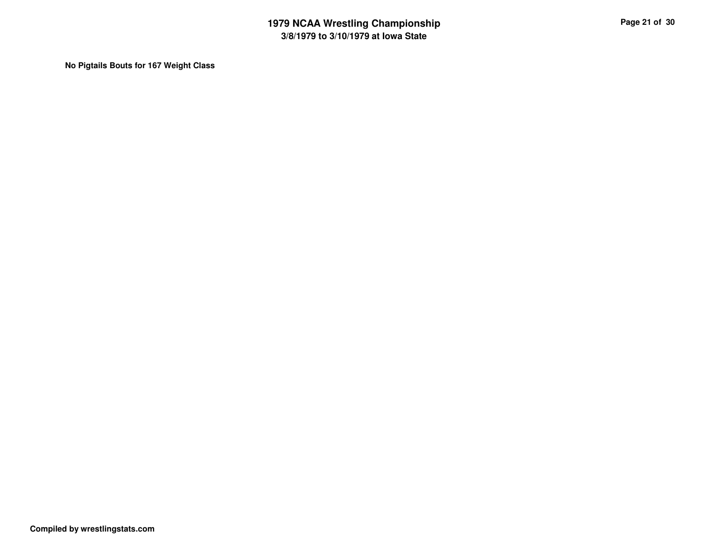**No Pigtails Bouts for 167 Weight Class**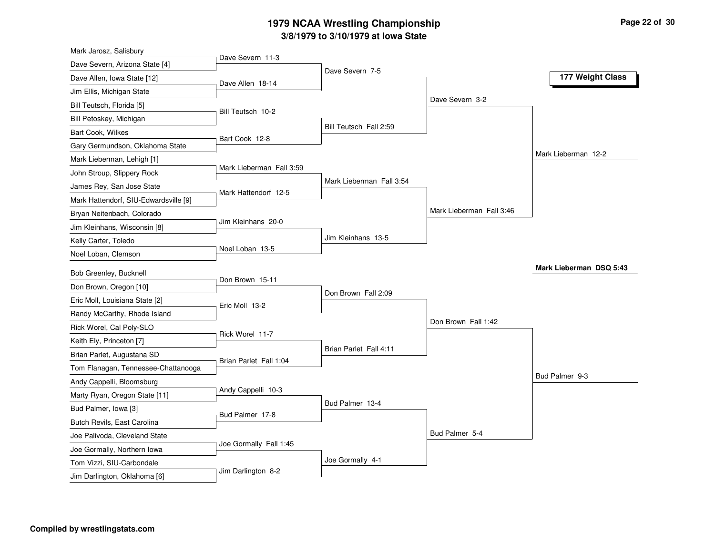#### **3/8/1979 to 3/10/1979 at Iowa State 1979 NCAA Wrestling Championship Page <sup>22</sup> of <sup>30</sup>**

| Mark Jarosz, Salisbury                                   |                          |                          |                          |                         |
|----------------------------------------------------------|--------------------------|--------------------------|--------------------------|-------------------------|
| Dave Severn, Arizona State [4]                           | Dave Severn 11-3         | Dave Severn 7-5          |                          |                         |
| Dave Allen, Iowa State [12]                              | Dave Allen 18-14         |                          |                          | 177 Weight Class        |
| Jim Ellis, Michigan State                                |                          |                          |                          |                         |
| Bill Teutsch, Florida [5]                                |                          |                          | Dave Severn 3-2          |                         |
| Bill Petoskey, Michigan                                  | Bill Teutsch 10-2        |                          |                          |                         |
| <b>Bart Cook, Wilkes</b>                                 |                          | Bill Teutsch Fall 2:59   |                          |                         |
| Gary Germundson, Oklahoma State                          | Bart Cook 12-8           |                          |                          |                         |
| Mark Lieberman, Lehigh [1]                               |                          |                          |                          | Mark Lieberman 12-2     |
| John Stroup, Slippery Rock                               | Mark Lieberman Fall 3:59 |                          |                          |                         |
| James Rey, San Jose State                                |                          | Mark Lieberman Fall 3:54 |                          |                         |
| Mark Hattendorf, SIU-Edwardsville [9]                    | Mark Hattendorf 12-5     |                          |                          |                         |
| Bryan Neitenbach, Colorado                               |                          |                          | Mark Lieberman Fall 3:46 |                         |
| Jim Kleinhans, Wisconsin [8]                             | Jim Kleinhans 20-0       |                          |                          |                         |
| Kelly Carter, Toledo                                     |                          | Jim Kleinhans 13-5       |                          |                         |
| Noel Loban, Clemson                                      | Noel Loban 13-5          |                          |                          |                         |
| Bob Greenley, Bucknell                                   |                          |                          |                          | Mark Lieberman DSQ 5:43 |
| Don Brown, Oregon [10]                                   | Don Brown 15-11          |                          |                          |                         |
| Eric Moll, Louisiana State [2]                           |                          | Don Brown Fall 2:09      |                          |                         |
| Randy McCarthy, Rhode Island                             | Eric Moll 13-2           |                          |                          |                         |
| Rick Worel, Cal Poly-SLO                                 |                          |                          | Don Brown Fall 1:42      |                         |
| Keith Ely, Princeton [7]                                 | Rick Worel 11-7          |                          |                          |                         |
| Brian Parlet, Augustana SD                               |                          | Brian Parlet Fall 4:11   |                          |                         |
| Tom Flanagan, Tennessee-Chattanooga                      | Brian Parlet Fall 1:04   |                          |                          |                         |
| Andy Cappelli, Bloomsburg                                |                          |                          |                          | Bud Palmer 9-3          |
| Marty Ryan, Oregon State [11]                            | Andy Cappelli 10-3       |                          |                          |                         |
| Bud Palmer, Iowa [3]                                     |                          | Bud Palmer 13-4          |                          |                         |
|                                                          |                          |                          |                          |                         |
| Butch Revils, East Carolina                              | Bud Palmer 17-8          |                          |                          |                         |
| Joe Palivoda, Cleveland State                            |                          |                          | Bud Palmer 5-4           |                         |
|                                                          | Joe Gormally Fall 1:45   |                          |                          |                         |
| Joe Gormally, Northern Iowa<br>Tom Vizzi, SIU-Carbondale |                          | Joe Gormally 4-1         |                          |                         |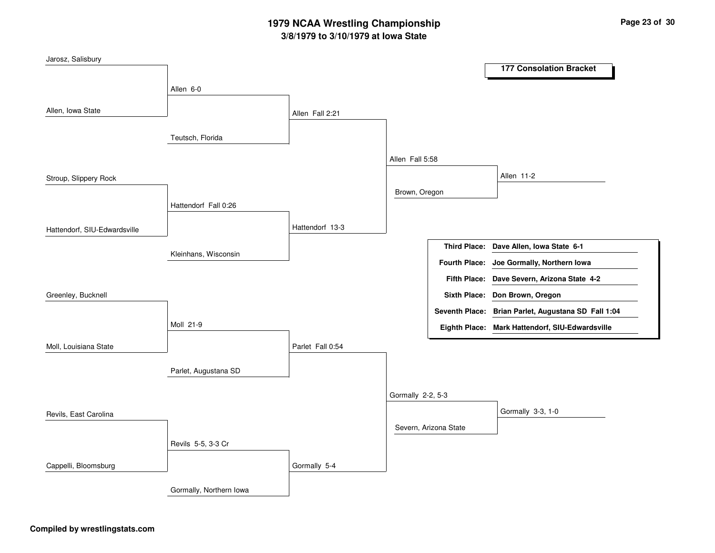# **3/8/1979 to 3/10/1979 at Iowa State 1979 NCAA Wrestling Championship Page <sup>23</sup> of <sup>30</sup>**

| Jarosz, Salisbury            |                         |                  |                       |                      | <b>177 Consolation Bracket</b>                      |
|------------------------------|-------------------------|------------------|-----------------------|----------------------|-----------------------------------------------------|
|                              |                         |                  |                       |                      |                                                     |
|                              | Allen 6-0               |                  |                       |                      |                                                     |
| Allen, Iowa State            |                         | Allen Fall 2:21  |                       |                      |                                                     |
|                              | Teutsch, Florida        |                  |                       |                      |                                                     |
|                              |                         |                  | Allen Fall 5:58       |                      |                                                     |
| Stroup, Slippery Rock        |                         |                  |                       |                      | Allen 11-2                                          |
|                              | Hattendorf Fall 0:26    |                  | Brown, Oregon         |                      |                                                     |
|                              |                         | Hattendorf 13-3  |                       |                      |                                                     |
| Hattendorf, SIU-Edwardsville |                         |                  |                       |                      |                                                     |
|                              | Kleinhans, Wisconsin    |                  |                       |                      | Third Place: Dave Allen, Iowa State 6-1             |
|                              |                         |                  |                       | <b>Fourth Place:</b> | Joe Gormally, Northern Iowa                         |
|                              |                         |                  |                       |                      | Fifth Place: Dave Severn, Arizona State 4-2         |
| Greenley, Bucknell           |                         |                  |                       |                      | Sixth Place: Don Brown, Oregon                      |
|                              |                         |                  |                       |                      | Seventh Place: Brian Parlet, Augustana SD Fall 1:04 |
|                              | Moll 21-9               |                  |                       |                      | Eighth Place: Mark Hattendorf, SIU-Edwardsville     |
| Moll, Louisiana State        |                         | Parlet Fall 0:54 |                       |                      |                                                     |
|                              | Parlet, Augustana SD    |                  |                       |                      |                                                     |
|                              |                         |                  | Gormally 2-2, 5-3     |                      |                                                     |
| Revils, East Carolina        |                         |                  |                       |                      | Gormally 3-3, 1-0                                   |
|                              |                         |                  | Severn, Arizona State |                      |                                                     |
|                              | Revils 5-5, 3-3 Cr      |                  |                       |                      |                                                     |
| Cappelli, Bloomsburg         |                         | Gormally 5-4     |                       |                      |                                                     |
|                              | Gormally, Northern Iowa |                  |                       |                      |                                                     |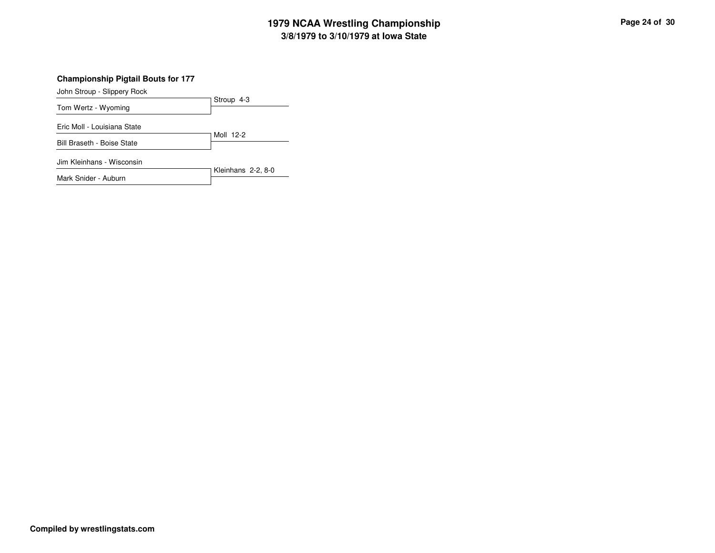# **3/8/1979 to 3/10/1979 at Iowa State 1979 NCAA Wrestling Championship Page <sup>24</sup> of <sup>30</sup>**

**Championship Pigtail Bouts for 177**

John Stroup - Slippery Rock

Mark Snider - Auburn

|                             | Stroup 4-3         |
|-----------------------------|--------------------|
| Tom Wertz - Wyoming         |                    |
| Eric Moll - Louisiana State |                    |
| Bill Braseth - Boise State  | Moll 12-2          |
| Jim Kleinhans - Wisconsin   | Kleinhans 2-2, 8-0 |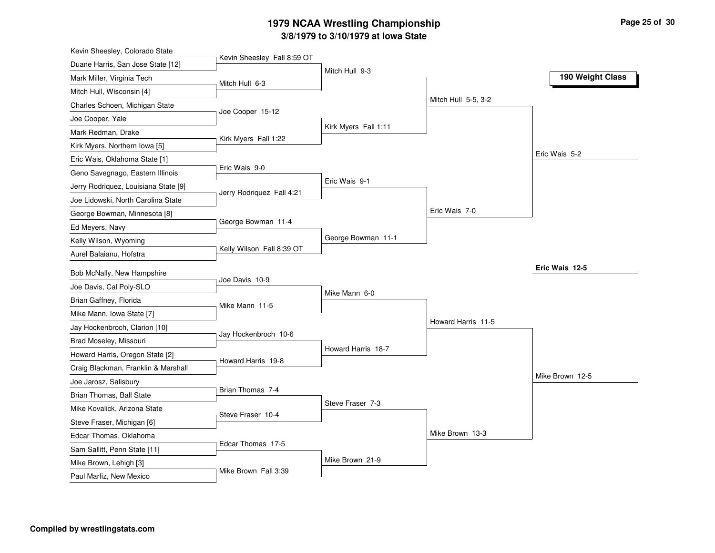#### **3/8/1979 to 3/10/1979 at Iowa State 1979 NCAA Wrestling Championship Page <sup>25</sup> of <sup>30</sup>**

| Kevin Sheesley, Colorado State                         |                             |                      |                     |                  |
|--------------------------------------------------------|-----------------------------|----------------------|---------------------|------------------|
| Duane Harris, San Jose State [12]                      | Kevin Sheesley Fall 8:59 OT |                      |                     |                  |
| Mark Miller, Virginia Tech                             | Mitch Hull 6-3              | Mitch Hull 9-3       |                     | 190 Weight Class |
| Mitch Hull, Wisconsin [4]                              |                             |                      |                     |                  |
| Charles Schoen, Michigan State                         |                             |                      | Mitch Hull 5-5, 3-2 |                  |
| Joe Cooper, Yale                                       | Joe Cooper 15-12            |                      |                     |                  |
| Mark Redman, Drake                                     |                             | Kirk Myers Fall 1:11 |                     |                  |
| Kirk Myers, Northern Iowa [5]                          | Kirk Myers Fall 1:22        |                      |                     |                  |
| Eric Wais, Oklahoma State [1]                          |                             |                      |                     | Eric Wais 5-2    |
| Geno Savegnago, Eastern Illinois                       | Eric Wais 9-0               |                      |                     |                  |
| Jerry Rodriquez, Louisiana State [9]                   |                             | Eric Wais 9-1        |                     |                  |
| Joe Lidowski, North Carolina State                     | Jerry Rodriquez Fall 4:21   |                      |                     |                  |
| George Bowman, Minnesota [8]                           |                             |                      | Eric Wais 7-0       |                  |
| Ed Meyers, Navy                                        | George Bowman 11-4          |                      |                     |                  |
| Kelly Wilson, Wyoming                                  |                             | George Bowman 11-1   |                     |                  |
| Aurel Balaianu, Hofstra                                | Kelly Wilson Fall 8:39 OT   |                      |                     |                  |
| Bob McNally, New Hampshire                             |                             |                      |                     | Eric Wais 12-5   |
| Joe Davis, Cal Poly-SLO                                | Joe Davis 10-9              |                      |                     |                  |
| Brian Gaffney, Florida                                 |                             | Mike Mann 6-0        |                     |                  |
| Mike Mann, Iowa State [7]                              | Mike Mann 11-5              |                      |                     |                  |
| Jay Hockenbroch, Clarion [10]                          |                             |                      | Howard Harris 11-5  |                  |
| Brad Moseley, Missouri                                 | Jay Hockenbroch 10-6        |                      |                     |                  |
| Howard Harris, Oregon State [2]                        |                             | Howard Harris 18-7   |                     |                  |
| Craig Blackman, Franklin & Marshall                    | Howard Harris 19-8          |                      |                     |                  |
| Joe Jarosz, Salisbury                                  |                             |                      |                     | Mike Brown 12-5  |
| Brian Thomas, Ball State                               | Brian Thomas 7-4            |                      |                     |                  |
| Mike Kovalick, Arizona State                           |                             | Steve Fraser 7-3     |                     |                  |
|                                                        | Steve Fraser 10-4           |                      |                     |                  |
| Steve Fraser, Michigan [6]<br>Edcar Thomas, Oklahoma   |                             |                      | Mike Brown 13-3     |                  |
|                                                        | Edcar Thomas 17-5           |                      |                     |                  |
|                                                        |                             |                      |                     |                  |
| Sam Sallitt, Penn State [11]<br>Mike Brown, Lehigh [3] |                             | Mike Brown 21-9      |                     |                  |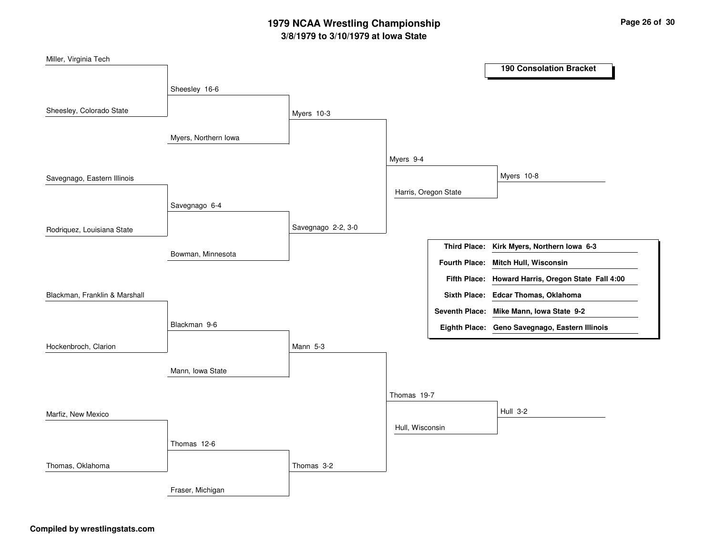# **3/8/1979 to 3/10/1979 at Iowa State 1979 NCAA Wrestling Championship Page <sup>26</sup> of <sup>30</sup>**

| Miller, Virginia Tech         |                      |                    |                 |                      |                                                    |
|-------------------------------|----------------------|--------------------|-----------------|----------------------|----------------------------------------------------|
|                               |                      |                    |                 |                      | <b>190 Consolation Bracket</b>                     |
|                               | Sheesley 16-6        |                    |                 |                      |                                                    |
| Sheesley, Colorado State      |                      | Myers 10-3         |                 |                      |                                                    |
|                               | Myers, Northern Iowa |                    |                 |                      |                                                    |
|                               |                      |                    | Myers 9-4       |                      |                                                    |
| Savegnago, Eastern Illinois   |                      |                    |                 |                      | Myers 10-8                                         |
|                               |                      |                    |                 | Harris, Oregon State |                                                    |
|                               | Savegnago 6-4        |                    |                 |                      |                                                    |
| Rodriquez, Louisiana State    |                      | Savegnago 2-2, 3-0 |                 |                      |                                                    |
|                               | Bowman, Minnesota    |                    |                 |                      | Third Place: Kirk Myers, Northern Iowa 6-3         |
|                               |                      |                    |                 |                      | Fourth Place: Mitch Hull, Wisconsin                |
| Blackman, Franklin & Marshall |                      |                    |                 |                      | Fifth Place: Howard Harris, Oregon State Fall 4:00 |
|                               |                      |                    |                 |                      | Sixth Place: Edcar Thomas, Oklahoma                |
|                               |                      |                    |                 |                      | Seventh Place: Mike Mann, Iowa State 9-2           |
|                               | Blackman 9-6         |                    |                 |                      | Eighth Place: Geno Savegnago, Eastern Illinois     |
| Hockenbroch, Clarion          |                      | Mann 5-3           |                 |                      |                                                    |
|                               |                      |                    |                 |                      |                                                    |
|                               | Mann, Iowa State     |                    |                 |                      |                                                    |
| Marfiz, New Mexico            |                      |                    | Thomas 19-7     |                      |                                                    |
|                               |                      |                    |                 |                      | <b>Hull 3-2</b>                                    |
|                               |                      |                    | Hull, Wisconsin |                      |                                                    |
|                               | Thomas 12-6          |                    |                 |                      |                                                    |
| Thomas, Oklahoma              |                      | Thomas 3-2         |                 |                      |                                                    |
|                               | Fraser, Michigan     |                    |                 |                      |                                                    |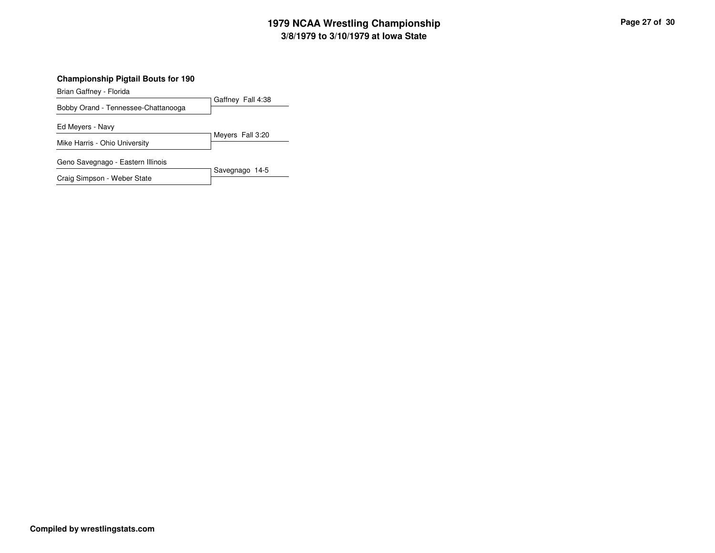# **3/8/1979 to 3/10/1979 at Iowa State 1979 NCAA Wrestling Championship Page <sup>27</sup> of <sup>30</sup>**

#### **Championship Pigtail Bouts for 190**

Brian Gaffney - Florida

Gaffney Fall 4:38 Bobby Orand - Tennessee-Chattanooga

Ed Meyers - Navy

Meyers Fall 3:20 Mike Harris - Ohio University

Geno Savegnago - Eastern Illinois

Savegnago 14-5 Craig Simpson - Weber State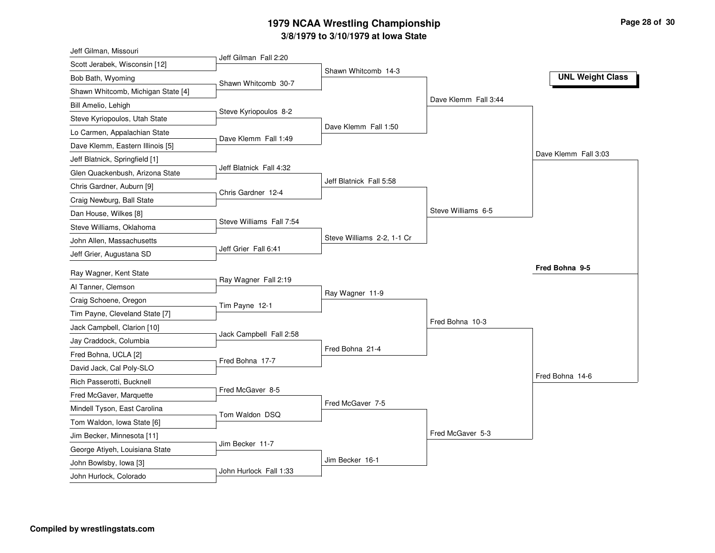# **3/8/1979 to 3/10/1979 at Iowa State 1979 NCAA Wrestling Championship Page <sup>28</sup> of <sup>30</sup>**

| Jeff Gilman, Missouri              |                          |                            |                      |                         |
|------------------------------------|--------------------------|----------------------------|----------------------|-------------------------|
| Scott Jerabek, Wisconsin [12]      | Jeff Gilman Fall 2:20    |                            |                      |                         |
| Bob Bath, Wyoming                  | Shawn Whitcomb 30-7      | Shawn Whitcomb 14-3        |                      | <b>UNL Weight Class</b> |
| Shawn Whitcomb, Michigan State [4] |                          |                            |                      |                         |
| Bill Amelio, Lehigh                |                          |                            | Dave Klemm Fall 3:44 |                         |
| Steve Kyriopoulos, Utah State      | Steve Kyriopoulos 8-2    |                            |                      |                         |
| Lo Carmen, Appalachian State       |                          | Dave Klemm Fall 1:50       |                      |                         |
| Dave Klemm, Eastern Illinois [5]   | Dave Klemm Fall 1:49     |                            |                      |                         |
| Jeff Blatnick, Springfield [1]     |                          |                            |                      | Dave Klemm Fall 3:03    |
| Glen Quackenbush, Arizona State    | Jeff Blatnick Fall 4:32  |                            |                      |                         |
| Chris Gardner, Auburn [9]          |                          | Jeff Blatnick Fall 5:58    |                      |                         |
| Craig Newburg, Ball State          | Chris Gardner 12-4       |                            |                      |                         |
| Dan House, Wilkes [8]              |                          |                            | Steve Williams 6-5   |                         |
| Steve Williams, Oklahoma           | Steve Williams Fall 7:54 |                            |                      |                         |
| John Allen, Massachusetts          |                          | Steve Williams 2-2, 1-1 Cr |                      |                         |
| Jeff Grier, Augustana SD           | Jeff Grier Fall 6:41     |                            |                      |                         |
|                                    |                          |                            |                      | Fred Bohna 9-5          |
| Ray Wagner, Kent State             | Ray Wagner Fall 2:19     |                            |                      |                         |
| Al Tanner, Clemson                 |                          | Ray Wagner 11-9            |                      |                         |
| Craig Schoene, Oregon              | Tim Payne 12-1           |                            |                      |                         |
| Tim Payne, Cleveland State [7]     |                          |                            | Fred Bohna 10-3      |                         |
| Jack Campbell, Clarion [10]        | Jack Campbell Fall 2:58  |                            |                      |                         |
| Jay Craddock, Columbia             |                          | Fred Bohna 21-4            |                      |                         |
| Fred Bohna, UCLA [2]               | Fred Bohna 17-7          |                            |                      |                         |
| David Jack, Cal Poly-SLO           |                          |                            |                      | Fred Bohna 14-6         |
| Rich Passerotti, Bucknell          | Fred McGaver 8-5         |                            |                      |                         |
| Fred McGaver, Marquette            |                          | Fred McGaver 7-5           |                      |                         |
| Mindell Tyson, East Carolina       | Tom Waldon DSQ           |                            |                      |                         |
| Tom Waldon, Iowa State [6]         |                          |                            | Fred McGaver 5-3     |                         |
| Jim Becker, Minnesota [11]         | Jim Becker 11-7          |                            |                      |                         |
| George Atiyeh, Louisiana State     |                          |                            |                      |                         |
| John Bowlsby, Iowa [3]             | John Hurlock Fall 1:33   | Jim Becker 16-1            |                      |                         |
| John Hurlock, Colorado             |                          |                            |                      |                         |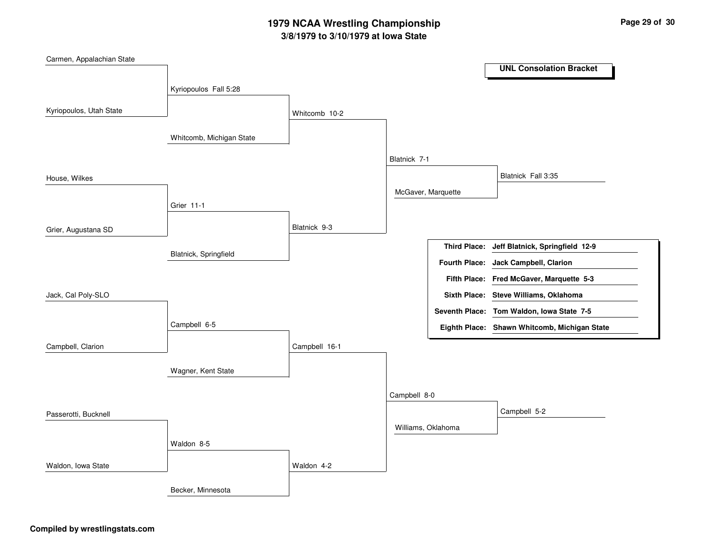# **3/8/1979 to 3/10/1979 at Iowa State 1979 NCAA Wrestling Championship Page <sup>29</sup> of <sup>30</sup>**

| Carmen, Appalachian State |                          |               |                    |  |                                              |  |  |
|---------------------------|--------------------------|---------------|--------------------|--|----------------------------------------------|--|--|
|                           |                          |               |                    |  | <b>UNL Consolation Bracket</b>               |  |  |
|                           | Kyriopoulos Fall 5:28    |               |                    |  |                                              |  |  |
|                           |                          |               |                    |  |                                              |  |  |
| Kyriopoulos, Utah State   |                          | Whitcomb 10-2 |                    |  |                                              |  |  |
|                           |                          |               |                    |  |                                              |  |  |
|                           | Whitcomb, Michigan State |               |                    |  |                                              |  |  |
|                           |                          |               | Blatnick 7-1       |  |                                              |  |  |
|                           |                          |               |                    |  |                                              |  |  |
| House, Wilkes             |                          |               |                    |  | Blatnick Fall 3:35                           |  |  |
|                           |                          |               | McGaver, Marquette |  |                                              |  |  |
|                           | Grier 11-1               |               |                    |  |                                              |  |  |
|                           |                          | Blatnick 9-3  |                    |  |                                              |  |  |
| Grier, Augustana SD       |                          |               |                    |  |                                              |  |  |
|                           | Blatnick, Springfield    |               |                    |  | Third Place: Jeff Blatnick, Springfield 12-9 |  |  |
|                           |                          |               |                    |  | Fourth Place: Jack Campbell, Clarion         |  |  |
|                           |                          |               |                    |  | Fifth Place: Fred McGaver, Marquette 5-3     |  |  |
| Jack, Cal Poly-SLO        |                          |               |                    |  | Sixth Place: Steve Williams, Oklahoma        |  |  |
|                           |                          |               |                    |  | Seventh Place: Tom Waldon, Iowa State 7-5    |  |  |
|                           | Campbell 6-5             |               |                    |  | Eighth Place: Shawn Whitcomb, Michigan State |  |  |
| Campbell, Clarion         |                          | Campbell 16-1 |                    |  |                                              |  |  |
|                           |                          |               |                    |  |                                              |  |  |
|                           | Wagner, Kent State       |               |                    |  |                                              |  |  |
|                           |                          |               |                    |  |                                              |  |  |
|                           |                          |               | Campbell 8-0       |  |                                              |  |  |
| Passerotti, Bucknell      |                          |               |                    |  | Campbell 5-2                                 |  |  |
|                           |                          |               | Williams, Oklahoma |  |                                              |  |  |
|                           | Waldon 8-5               |               |                    |  |                                              |  |  |
|                           |                          |               |                    |  |                                              |  |  |
| Waldon, Iowa State        |                          | Waldon 4-2    |                    |  |                                              |  |  |
|                           | Becker, Minnesota        |               |                    |  |                                              |  |  |
|                           |                          |               |                    |  |                                              |  |  |